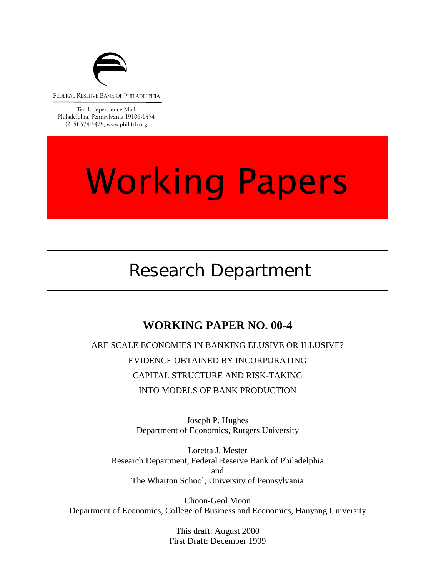

FEDERAL RESERVE BANK OF PHILADELPHIA

Ten Independence Mall Philadelphia, Pennsylvania 19106-1574 (215) 574-6428, www.phil.frb.org

# **Working Papers**

# Research Department

## **WORKING PAPER NO. 00-4**

ARE SCALE ECONOMIES IN BANKING ELUSIVE OR ILLUSIVE? EVIDENCE OBTAINED BY INCORPORATING CAPITAL STRUCTURE AND RISK-TAKING INTO MODELS OF BANK PRODUCTION

> Joseph P. Hughes Department of Economics, Rutgers University

Loretta J. Mester Research Department, Federal Reserve Bank of Philadelphia and The Wharton School, University of Pennsylvania

Choon-Geol Moon Department of Economics, College of Business and Economics, Hanyang University

> This draft: August 2000 First Draft: December 1999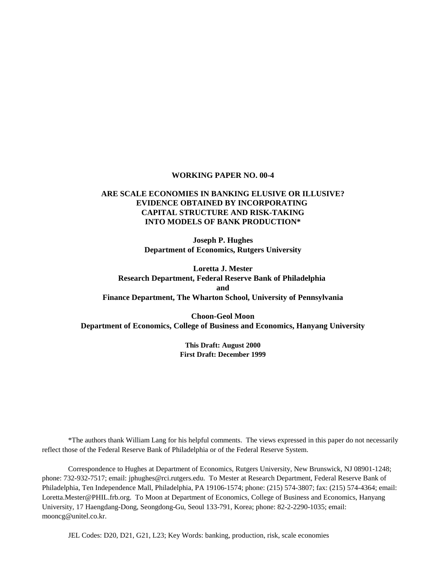#### **WORKING PAPER NO. 00-4**

#### **ARE SCALE ECONOMIES IN BANKING ELUSIVE OR ILLUSIVE? EVIDENCE OBTAINED BY INCORPORATING CAPITAL STRUCTURE AND RISK-TAKING INTO MODELS OF BANK PRODUCTION\***

**Joseph P. Hughes Department of Economics, Rutgers University**

**Loretta J. Mester Research Department, Federal Reserve Bank of Philadelphia and Finance Department, The Wharton School, University of Pennsylvania**

**Choon-Geol Moon Department of Economics, College of Business and Economics, Hanyang University**

> **This Draft: August 2000 First Draft: December 1999**

\*The authors thank William Lang for his helpful comments. The views expressed in this paper do not necessarily reflect those of the Federal Reserve Bank of Philadelphia or of the Federal Reserve System.

Correspondence to Hughes at Department of Economics, Rutgers University, New Brunswick, NJ 08901-1248; phone: 732-932-7517; email: jphughes@rci.rutgers.edu. To Mester at Research Department, Federal Reserve Bank of Philadelphia, Ten Independence Mall, Philadelphia, PA 19106-1574; phone: (215) 574-3807; fax: (215) 574-4364; email: Loretta.Mester@PHIL.frb.org. To Moon at Department of Economics, College of Business and Economics, Hanyang University, 17 Haengdang-Dong, Seongdong-Gu, Seoul 133-791, Korea; phone: 82-2-2290-1035; email: mooncg@unitel.co.kr.

JEL Codes: D20, D21, G21, L23; Key Words: banking, production, risk, scale economies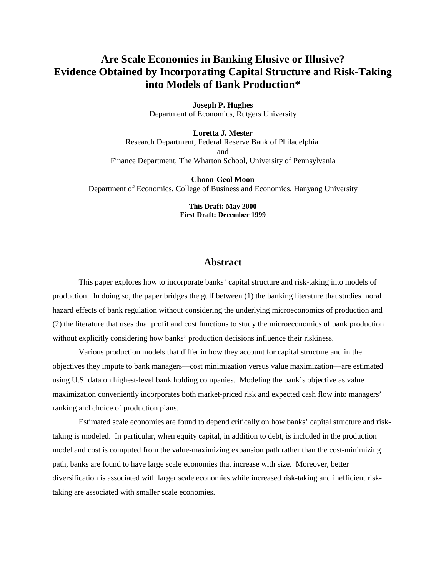## **Are Scale Economies in Banking Elusive or Illusive? Evidence Obtained by Incorporating Capital Structure and Risk-Taking into Models of Bank Production\***

#### **Joseph P. Hughes**

Department of Economics, Rutgers University

**Loretta J. Mester** Research Department, Federal Reserve Bank of Philadelphia and Finance Department, The Wharton School, University of Pennsylvania

**Choon-Geol Moon**

Department of Economics, College of Business and Economics, Hanyang University

**This Draft: May 2000 First Draft: December 1999**

#### **Abstract**

This paper explores how to incorporate banks' capital structure and risk-taking into models of production. In doing so, the paper bridges the gulf between (1) the banking literature that studies moral hazard effects of bank regulation without considering the underlying microeconomics of production and (2) the literature that uses dual profit and cost functions to study the microeconomics of bank production without explicitly considering how banks' production decisions influence their riskiness.

Various production models that differ in how they account for capital structure and in the objectives they impute to bank managers—cost minimization versus value maximization—are estimated using U.S. data on highest-level bank holding companies. Modeling the bank's objective as value maximization conveniently incorporates both market-priced risk and expected cash flow into managers' ranking and choice of production plans.

Estimated scale economies are found to depend critically on how banks' capital structure and risktaking is modeled. In particular, when equity capital, in addition to debt, is included in the production model and cost is computed from the value-maximizing expansion path rather than the cost-minimizing path, banks are found to have large scale economies that increase with size. Moreover, better diversification is associated with larger scale economies while increased risk-taking and inefficient risktaking are associated with smaller scale economies.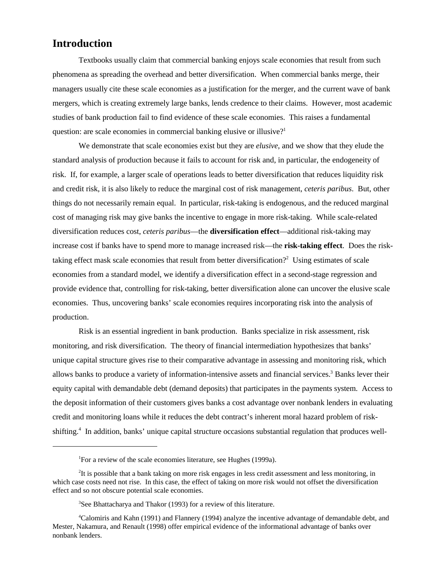## **Introduction**

Textbooks usually claim that commercial banking enjoys scale economies that result from such phenomena as spreading the overhead and better diversification. When commercial banks merge, their managers usually cite these scale economies as a justification for the merger, and the current wave of bank mergers, which is creating extremely large banks, lends credence to their claims. However, most academic studies of bank production fail to find evidence of these scale economies. This raises a fundamental question: are scale economies in commercial banking elusive or illusive?<sup>1</sup>

We demonstrate that scale economies exist but they are *elusive*, and we show that they elude the standard analysis of production because it fails to account for risk and, in particular, the endogeneity of risk. If, for example, a larger scale of operations leads to better diversification that reduces liquidity risk and credit risk, it is also likely to reduce the marginal cost of risk management, *ceteris paribus*. But, other things do not necessarily remain equal. In particular, risk-taking is endogenous, and the reduced marginal cost of managing risk may give banks the incentive to engage in more risk-taking. While scale-related diversification reduces cost, *ceteris paribus*—the **diversification effect**—additional risk-taking may increase cost if banks have to spend more to manage increased risk—the **risk-taking effect**. Does the risktaking effect mask scale economies that result from better diversification?<sup>2</sup> Using estimates of scale economies from a standard model, we identify a diversification effect in a second-stage regression and provide evidence that, controlling for risk-taking, better diversification alone can uncover the elusive scale economies. Thus, uncovering banks' scale economies requires incorporating risk into the analysis of production.

Risk is an essential ingredient in bank production. Banks specialize in risk assessment, risk monitoring, and risk diversification. The theory of financial intermediation hypothesizes that banks' unique capital structure gives rise to their comparative advantage in assessing and monitoring risk, which allows banks to produce a variety of information-intensive assets and financial services.<sup>3</sup> Banks lever their equity capital with demandable debt (demand deposits) that participates in the payments system. Access to the deposit information of their customers gives banks a cost advantage over nonbank lenders in evaluating credit and monitoring loans while it reduces the debt contract's inherent moral hazard problem of riskshifting.<sup>4</sup> In addition, banks' unique capital structure occasions substantial regulation that produces well-

<sup>&</sup>lt;sup>1</sup>For a review of the scale economies literature, see Hughes (1999a).

<sup>&</sup>lt;sup>2</sup>It is possible that a bank taking on more risk engages in less credit assessment and less monitoring, in which case costs need not rise. In this case, the effect of taking on more risk would not offset the diversification effect and so not obscure potential scale economies.

 $3$ See Bhattacharya and Thakor (1993) for a review of this literature.

<sup>&</sup>lt;sup>4</sup>Calomiris and Kahn (1991) and Flannery (1994) analyze the incentive advantage of demandable debt, and Mester, Nakamura, and Renault (1998) offer empirical evidence of the informational advantage of banks over nonbank lenders.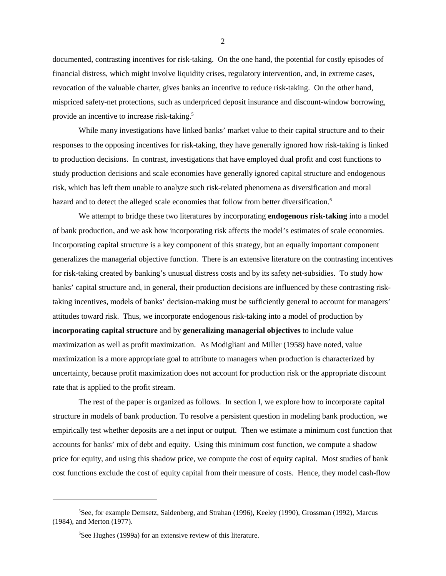documented, contrasting incentives for risk-taking. On the one hand, the potential for costly episodes of financial distress, which might involve liquidity crises, regulatory intervention, and, in extreme cases, revocation of the valuable charter, gives banks an incentive to reduce risk-taking. On the other hand, mispriced safety-net protections, such as underpriced deposit insurance and discount-window borrowing, provide an incentive to increase risk-taking.<sup>5</sup>

While many investigations have linked banks' market value to their capital structure and to their responses to the opposing incentives for risk-taking, they have generally ignored how risk-taking is linked to production decisions. In contrast, investigations that have employed dual profit and cost functions to study production decisions and scale economies have generally ignored capital structure and endogenous risk, which has left them unable to analyze such risk-related phenomena as diversification and moral hazard and to detect the alleged scale economies that follow from better diversification.<sup>6</sup>

We attempt to bridge these two literatures by incorporating **endogenous risk-taking** into a model of bank production, and we ask how incorporating risk affects the model's estimates of scale economies. Incorporating capital structure is a key component of this strategy, but an equally important component generalizes the managerial objective function. There is an extensive literature on the contrasting incentives for risk-taking created by banking's unusual distress costs and by its safety net-subsidies. To study how banks' capital structure and, in general, their production decisions are influenced by these contrasting risktaking incentives, models of banks' decision-making must be sufficiently general to account for managers' attitudes toward risk. Thus, we incorporate endogenous risk-taking into a model of production by **incorporating capital structure** and by **generalizing managerial objectives** to include value maximization as well as profit maximization. As Modigliani and Miller (1958) have noted, value maximization is a more appropriate goal to attribute to managers when production is characterized by uncertainty, because profit maximization does not account for production risk or the appropriate discount rate that is applied to the profit stream.

The rest of the paper is organized as follows. In section I, we explore how to incorporate capital structure in models of bank production. To resolve a persistent question in modeling bank production, we empirically test whether deposits are a net input or output. Then we estimate a minimum cost function that accounts for banks' mix of debt and equity. Using this minimum cost function, we compute a shadow price for equity, and using this shadow price, we compute the cost of equity capital. Most studies of bank cost functions exclude the cost of equity capital from their measure of costs. Hence, they model cash-flow

<sup>&</sup>lt;sup>5</sup>See, for example Demsetz, Saidenberg, and Strahan (1996), Keeley (1990), Grossman (1992), Marcus (1984), and Merton (1977).

<sup>&</sup>lt;sup>6</sup>See Hughes (1999a) for an extensive review of this literature.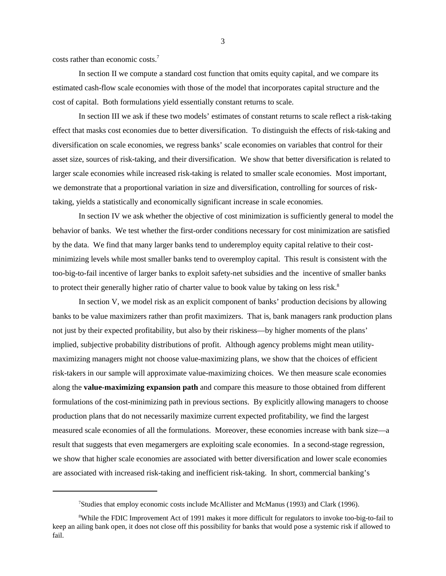costs rather than economic costs.7

In section II we compute a standard cost function that omits equity capital, and we compare its estimated cash-flow scale economies with those of the model that incorporates capital structure and the cost of capital. Both formulations yield essentially constant returns to scale.

In section III we ask if these two models' estimates of constant returns to scale reflect a risk-taking effect that masks cost economies due to better diversification. To distinguish the effects of risk-taking and diversification on scale economies, we regress banks' scale economies on variables that control for their asset size, sources of risk-taking, and their diversification. We show that better diversification is related to larger scale economies while increased risk-taking is related to smaller scale economies. Most important, we demonstrate that a proportional variation in size and diversification, controlling for sources of risktaking, yields a statistically and economically significant increase in scale economies.

In section IV we ask whether the objective of cost minimization is sufficiently general to model the behavior of banks. We test whether the first-order conditions necessary for cost minimization are satisfied by the data. We find that many larger banks tend to underemploy equity capital relative to their costminimizing levels while most smaller banks tend to overemploy capital. This result is consistent with the too-big-to-fail incentive of larger banks to exploit safety-net subsidies and the incentive of smaller banks to protect their generally higher ratio of charter value to book value by taking on less risk.<sup>8</sup>

In section V, we model risk as an explicit component of banks' production decisions by allowing banks to be value maximizers rather than profit maximizers. That is, bank managers rank production plans not just by their expected profitability, but also by their riskiness—by higher moments of the plans' implied, subjective probability distributions of profit. Although agency problems might mean utilitymaximizing managers might not choose value-maximizing plans, we show that the choices of efficient risk-takers in our sample will approximate value-maximizing choices. We then measure scale economies along the **value-maximizing expansion path** and compare this measure to those obtained from different formulations of the cost-minimizing path in previous sections. By explicitly allowing managers to choose production plans that do not necessarily maximize current expected profitability, we find the largest measured scale economies of all the formulations. Moreover, these economies increase with bank size—a result that suggests that even megamergers are exploiting scale economies. In a second-stage regression, we show that higher scale economies are associated with better diversification and lower scale economies are associated with increased risk-taking and inefficient risk-taking. In short, commercial banking's

<sup>&</sup>lt;sup>7</sup>Studies that employ economic costs include McAllister and McManus (1993) and Clark (1996).

<sup>&</sup>lt;sup>8</sup>While the FDIC Improvement Act of 1991 makes it more difficult for regulators to invoke too-big-to-fail to keep an ailing bank open, it does not close off this possibility for banks that would pose a systemic risk if allowed to fail.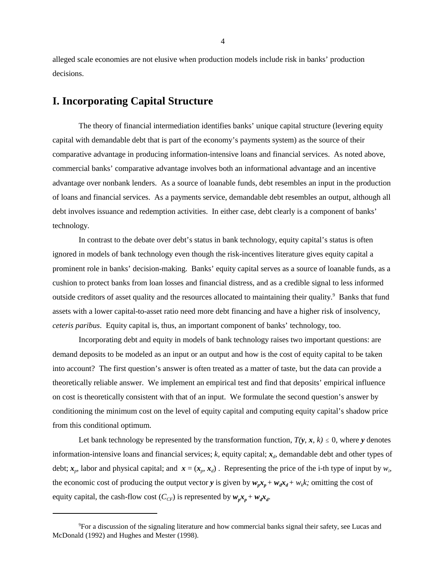alleged scale economies are not elusive when production models include risk in banks' production decisions.

## **I. Incorporating Capital Structure**

The theory of financial intermediation identifies banks' unique capital structure (levering equity capital with demandable debt that is part of the economy's payments system) as the source of their comparative advantage in producing information-intensive loans and financial services. As noted above, commercial banks' comparative advantage involves both an informational advantage and an incentive advantage over nonbank lenders. As a source of loanable funds, debt resembles an input in the production of loans and financial services. As a payments service, demandable debt resembles an output, although all debt involves issuance and redemption activities. In either case, debt clearly is a component of banks' technology.

In contrast to the debate over debt's status in bank technology, equity capital's status is often ignored in models of bank technology even though the risk-incentives literature gives equity capital a prominent role in banks' decision-making. Banks' equity capital serves as a source of loanable funds, as a cushion to protect banks from loan losses and financial distress, and as a credible signal to less informed outside creditors of asset quality and the resources allocated to maintaining their quality.<sup>9</sup> Banks that fund assets with a lower capital-to-asset ratio need more debt financing and have a higher risk of insolvency, *ceteris paribus*. Equity capital is, thus, an important component of banks' technology, too.

Incorporating debt and equity in models of bank technology raises two important questions: are demand deposits to be modeled as an input or an output and how is the cost of equity capital to be taken into account? The first question's answer is often treated as a matter of taste, but the data can provide a theoretically reliable answer. We implement an empirical test and find that deposits' empirical influence on cost is theoretically consistent with that of an input. We formulate the second question's answer by conditioning the minimum cost on the level of equity capital and computing equity capital's shadow price from this conditional optimum.

Let bank technology be represented by the transformation function,  $T(y, x, k) \leq 0$ , where y denotes information-intensive loans and financial services;  $k$ , equity capital;  $x_d$ , demandable debt and other types of debt;  $x_n$ , labor and physical capital; and  $x = (x_n, x_d)$ . Representing the price of the i-th type of input by  $w_i$ , the economic cost of producing the output vector *y* is given by  $w_n x_n + w_d x_d + w_k k$ ; omitting the cost of equity capital, the cash-flow cost  $(C_{CF})$  is represented by  $w_p x_p + w_d x_d$ .

<sup>&</sup>lt;sup>9</sup> For a discussion of the signaling literature and how commercial banks signal their safety, see Lucas and McDonald (1992) and Hughes and Mester (1998).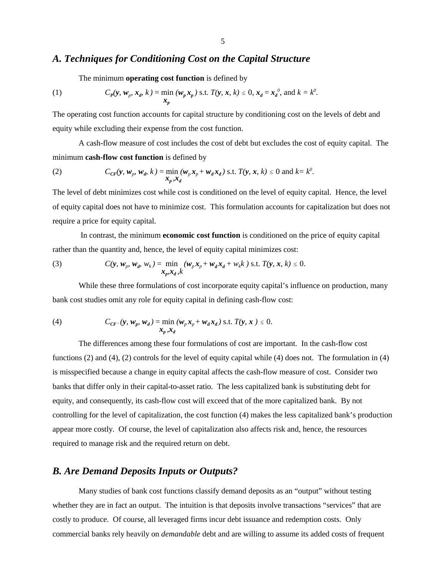#### 5

## *A. Techniques for Conditioning Cost on the Capital Structure*

The minimum **operating cost function** is defined by

(1) 
$$
C_p(\mathbf{y}, \mathbf{w}_p, \mathbf{x}_d, k) = \min_{\mathbf{x}_p} (\mathbf{w}_p, \mathbf{x}_p) \text{ s.t. } T(\mathbf{y}, \mathbf{x}, k) \leq 0, \mathbf{x}_d = \mathbf{x}_d^0, \text{ and } k = k^0.
$$

The operating cost function accounts for capital structure by conditioning cost on the levels of debt and equity while excluding their expense from the cost function.

A cash-flow measure of cost includes the cost of debt but excludes the cost of equity capital. The minimum **cash-flow cost function** is defined by

(2) 
$$
C_{CF}(y, w_p, w_a, k) = \min_{\mathbf{x}_p, \mathbf{x}_d} (w_p x_p + w_d x_d) \text{ s.t. } T(y, x, k) \leq 0 \text{ and } k = k^0.
$$

The level of debt minimizes cost while cost is conditioned on the level of equity capital. Hence, the level of equity capital does not have to minimize cost. This formulation accounts for capitalization but does not require a price for equity capital.

 In contrast, the minimum **economic cost function** is conditioned on the price of equity capital rather than the quantity and, hence, the level of equity capital minimizes cost:

(3) 
$$
C(\mathbf{y},\,\mathbf{w}_p,\,\mathbf{w}_d,\,\mathbf{w}_k)=\min_{\mathbf{x}_p,\mathbf{x}_d,\,k}(\mathbf{w}_p\mathbf{x}_p+\mathbf{w}_d\mathbf{x}_d+\mathbf{w}_k k)\,\,\text{s.t.}\,\,T(\mathbf{y},\,\mathbf{x},\,k)\leq 0.
$$

While these three formulations of cost incorporate equity capital's influence on production, many bank cost studies omit any role for equity capital in defining cash-flow cost:

(4) 
$$
C_{CF'}(y, w_p, w_d) = \min_{\mathbf{x}_p, \mathbf{x}_d} (w_p x_p + w_d x_d) \text{ s.t. } T(y, x) \leq 0.
$$

The differences among these four formulations of cost are important. In the cash-flow cost functions (2) and (4), (2) controls for the level of equity capital while (4) does not. The formulation in (4) is misspecified because a change in equity capital affects the cash-flow measure of cost. Consider two banks that differ only in their capital-to-asset ratio. The less capitalized bank is substituting debt for equity, and consequently, its cash-flow cost will exceed that of the more capitalized bank. By not controlling for the level of capitalization, the cost function (4) makes the less capitalized bank's production appear more costly. Of course, the level of capitalization also affects risk and, hence, the resources required to manage risk and the required return on debt.

#### *B. Are Demand Deposits Inputs or Outputs?*

Many studies of bank cost functions classify demand deposits as an "output" without testing whether they are in fact an output. The intuition is that deposits involve transactions "services" that are costly to produce. Of course, all leveraged firms incur debt issuance and redemption costs. Only commercial banks rely heavily on *demandable* debt and are willing to assume its added costs of frequent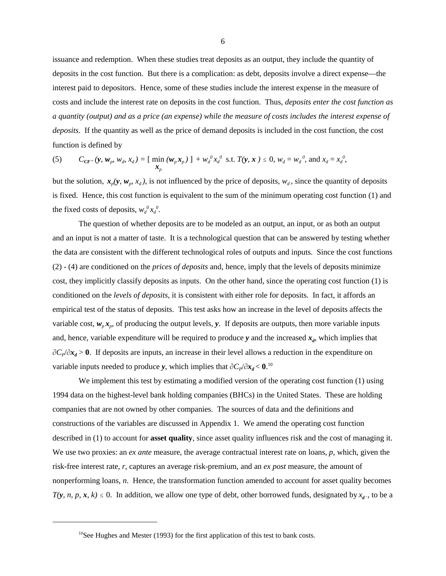issuance and redemption. When these studies treat deposits as an output, they include the quantity of deposits in the cost function. But there is a complication: as debt, deposits involve a direct expense—the interest paid to depositors. Hence, some of these studies include the interest expense in the measure of costs and include the interest rate on deposits in the cost function. Thus, *deposits enter the cost function as a quantity (output) and as a price (an expense) while the measure of costs includes the interest expense of deposits*. If the quantity as well as the price of demand deposits is included in the cost function, the cost function is defined by

(5) 
$$
C_{CF}(y, w_p, w_d, x_d) = [\min_{x_p} (w_p x_p)] + w_d^0 x_d^0 \text{ s.t. } T(y, x) \le 0, w_d = w_d^0, \text{ and } x_d = x_d^0,
$$

but the solution,  $x_p(y, w_p, x_d)$ , is not influenced by the price of deposits,  $w_d$ , since the quantity of deposits is fixed. Hence, this cost function is equivalent to the sum of the minimum operating cost function (1) and the fixed costs of deposits,  $w_d^0 x_d^0$ .

The question of whether deposits are to be modeled as an output, an input, or as both an output and an input is not a matter of taste. It is a technological question that can be answered by testing whether the data are consistent with the different technological roles of outputs and inputs. Since the cost functions (2) - (4) are conditioned on the *prices of deposits* and, hence, imply that the levels of deposits minimize cost, they implicitly classify deposits as inputs. On the other hand, since the operating cost function (1) is conditioned on the *levels of deposits*, it is consistent with either role for deposits. In fact, it affords an empirical test of the status of deposits. This test asks how an increase in the level of deposits affects the variable cost,  $w_p x_p$ , of producing the output levels, *y*. If deposits are outputs, then more variable inputs and, hence, variable expenditure will be required to produce  $y$  and the increased  $x_d$ , which implies that  $\partial C_p/\partial x_d > 0$ . If deposits are inputs, an increase in their level allows a reduction in the expenditure on variable inputs needed to produce *y*, which implies that  $\partial C_P / \partial x_d < 0$ .<sup>10</sup>

We implement this test by estimating a modified version of the operating cost function (1) using 1994 data on the highest-level bank holding companies (BHCs) in the United States. These are holding companies that are not owned by other companies. The sources of data and the definitions and constructions of the variables are discussed in Appendix 1. We amend the operating cost function described in (1) to account for **asset quality**, since asset quality influences risk and the cost of managing it. We use two proxies: an *ex ante* measure, the average contractual interest rate on loans, *p*, which, given the risk-free interest rate, *r*, captures an average risk-premium, and an *ex post* measure, the amount of nonperforming loans, *n*. Hence, the transformation function amended to account for asset quality becomes *T(y, n, p, x, k)*  $\leq$  0. In addition, we allow one type of debt, other borrowed funds, designated by  $x_d$ , to be a

 $10$ See Hughes and Mester (1993) for the first application of this test to bank costs.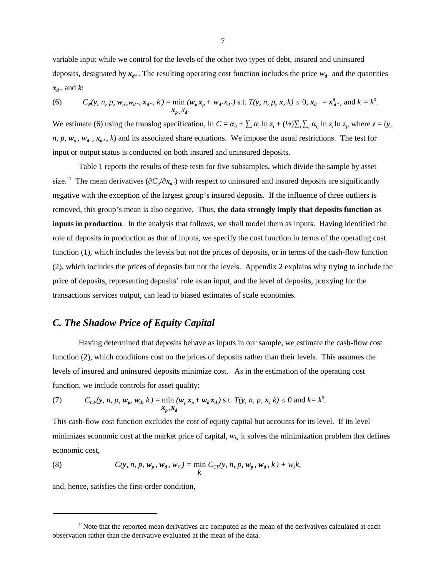variable input while we control for the levels of the other two types of debt, insured and uninsured deposits, designated by  $x_{d}$ . The resulting operating cost function includes the price  $w_{d}$  and the quantities  $x_d$  and *k*:

(6) 
$$
C_p(y, n, p, w_p, w_{d'}, x_{d'}, k) = \min_{\mathbf{x}_p, x_{d'}} (w_p \mathbf{x}_p + w_{d'} x_{d'}) \text{ s.t. } T(y, n, p, x, k) \leq 0, x_{d'} = x_{d'}^0, \text{ and } k = k^0.
$$

We estimate (6) using the translog specification, ln  $C = \alpha_0 + \sum_i \alpha_i \ln z_i + (\frac{1}{2})\sum_i \sum_i \alpha_{i} \ln z_i \ln z_i$ , where  $z = (y, \alpha_i, \alpha_i)$ *n, p, w<sub>p</sub>, w<sub>d'</sub>, x<sub>d'</sub>, k)* and its associated share equations. We impose the usual restrictions. The test for input or output status is conducted on both insured and uninsured deposits.

Table 1 reports the results of these tests for five subsamples, which divide the sample by asset size.<sup>11</sup> The mean derivatives  $(\partial C_p/\partial x_d)$  with respect to uninsured and insured deposits are significantly negative with the exception of the largest group's insured deposits. If the influence of three outliers is removed, this group's mean is also negative. Thus, **the data strongly imply that deposits function as inputs in production**. In the analysis that follows, we shall model them as inputs. Having identified the role of deposits in production as that of inputs, we specify the cost function in terms of the operating cost function (1), which includes the levels but not the prices of deposits, or in terms of the cash-flow function (2), which includes the prices of deposits but not the levels. Appendix 2 explains why trying to include the price of deposits, representing deposits' role as an input, and the level of deposits, proxying for the transactions services output, can lead to biased estimates of scale economies.

#### *C. The Shadow Price of Equity Capital*

Having determined that deposits behave as inputs in our sample, we estimate the cash-flow cost function (2), which conditions cost on the prices of deposits rather than their levels. This assumes the levels of insured and uninsured deposits minimize cost. As in the estimation of the operating cost function, we include controls for asset quality:

(7) 
$$
C_{CF}(y, n, p, w_p, w_d, k) = \min_{\mathbf{x}_p, \mathbf{x}_d} (w_p \mathbf{x}_p + w_d \mathbf{x}_d) \text{ s.t. } T(y, n, p, \mathbf{x}, k) \leq 0 \text{ and } k = k^0.
$$

This cash-flow cost function excludes the cost of equity capital but accounts for its level. If its level minimizes economic cost at the market price of capital,  $w_k$ , it solves the minimization problem that defines economic cost,

(8) 
$$
C(y, n, p, w_p, w_d, w_k) = \min_{k} C_{CF}(y, n, p, w_p, w_d, k) + w_k k,
$$

and, hence, satisfies the first-order condition,

 $<sup>11</sup>$ Note that the reported mean derivatives are computed as the mean of the derivatives calculated at each</sup> observation rather than the derivative evaluated at the mean of the data.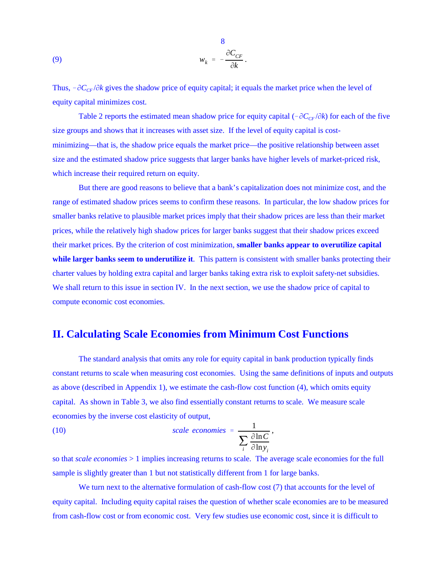$$
w_k = -\frac{\partial C_{CF}}{\partial k}.
$$

Thus,  $-\partial C_{CF}/\partial k$  gives the shadow price of equity capital; it equals the market price when the level of equity capital minimizes cost.

8

Table 2 reports the estimated mean shadow price for equity capital  $(-\partial C_{CF}/\partial k)$  for each of the five size groups and shows that it increases with asset size. If the level of equity capital is costminimizing—that is, the shadow price equals the market price—the positive relationship between asset size and the estimated shadow price suggests that larger banks have higher levels of market-priced risk, which increase their required return on equity.

But there are good reasons to believe that a bank's capitalization does not minimize cost, and the range of estimated shadow prices seems to confirm these reasons. In particular, the low shadow prices for smaller banks relative to plausible market prices imply that their shadow prices are less than their market prices, while the relatively high shadow prices for larger banks suggest that their shadow prices exceed their market prices. By the criterion of cost minimization, **smaller banks appear to overutilize capital while larger banks seem to underutilize it**. This pattern is consistent with smaller banks protecting their charter values by holding extra capital and larger banks taking extra risk to exploit safety-net subsidies. We shall return to this issue in section IV. In the next section, we use the shadow price of capital to compute economic cost economies.

## **II. Calculating Scale Economies from Minimum Cost Functions**

The standard analysis that omits any role for equity capital in bank production typically finds constant returns to scale when measuring cost economies. Using the same definitions of inputs and outputs as above (described in Appendix 1), we estimate the cash-flow cost function (4), which omits equity capital. As shown in Table 3, we also find essentially constant returns to scale. We measure scale economies by the inverse cost elasticity of output,

(10) 
$$
\text{scale economics } = \frac{1}{\sum_{i} \frac{\partial \ln C}{\partial \ln y_{i}}},
$$

so that *scale economies* > 1 implies increasing returns to scale. The average scale economies for the full sample is slightly greater than 1 but not statistically different from 1 for large banks.

We turn next to the alternative formulation of cash-flow cost (7) that accounts for the level of equity capital. Including equity capital raises the question of whether scale economies are to be measured from cash-flow cost or from economic cost. Very few studies use economic cost, since it is difficult to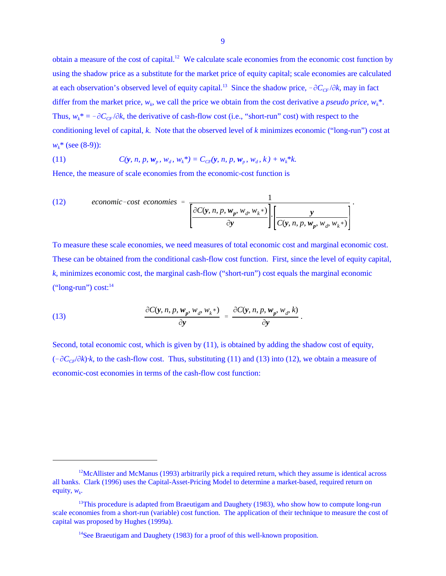obtain a measure of the cost of capital.<sup>12</sup> We calculate scale economies from the economic cost function by using the shadow price as a substitute for the market price of equity capital; scale economies are calculated at each observation's observed level of equity capital.<sup>13</sup> Since the shadow price,  $-\partial C_{CF}/\partial k$ , may in fact differ from the market price,  $w_k$ , we call the price we obtain from the cost derivative a *pseudo price*,  $w_k^*$ . Thus,  $w_k^* = -\partial C_{CF}/\partial k$ , the derivative of cash-flow cost (i.e., "short-run" cost) with respect to the conditioning level of capital, *k*. Note that the observed level of *k* minimizes economic ("long-run") cost at  $w_k^*$  (see (8-9)):

(11) 
$$
C(y, n, p, w_p, w_d, w_k^*) = C_{CF}(y, n, p, w_p, w_d, k) + w_k^*k.
$$

Hence, the measure of scale economies from the economic-cost function is

(12) *economic-cost economics* = 
$$
\frac{1}{\left[\frac{\partial C(\mathbf{y}, n, p, \mathbf{w}_p, w_a, w_k*)}{\partial \mathbf{y}}\right] \cdot \left[\frac{\mathbf{y}}{C(\mathbf{y}, n, p, \mathbf{w}_p, w_a, w_k*)}\right]}
$$

To measure these scale economies, we need measures of total economic cost and marginal economic cost. These can be obtained from the conditional cash-flow cost function. First, since the level of equity capital, *k*, minimizes economic cost, the marginal cash-flow ("short-run") cost equals the marginal economic (" $long-run"$ ) cost: $14$ 

(13) 
$$
\frac{\partial C(\mathbf{y}, n, p, \mathbf{w}_p, w_a, w_k^*)}{\partial \mathbf{y}} = \frac{\partial C(\mathbf{y}, n, p, \mathbf{w}_p, w_a, k)}{\partial \mathbf{y}}.
$$

Second, total economic cost, which is given by (11), is obtained by adding the shadow cost of equity,  $(-\partial C_{CF}/\partial k)$ *·k*, to the cash-flow cost. Thus, substituting (11) and (13) into (12), we obtain a measure of economic-cost economies in terms of the cash-flow cost function:

 $^{12}$ McAllister and McManus (1993) arbitrarily pick a required return, which they assume is identical across all banks. Clark (1996) uses the Capital-Asset-Pricing Model to determine a market-based, required return on equity,  $w_k$ .

 $13$ This procedure is adapted from Braeutigam and Daughety (1983), who show how to compute long-run scale economies from a short-run (variable) cost function. The application of their technique to measure the cost of capital was proposed by Hughes (1999a).

 $14$ See Braeutigam and Daughety (1983) for a proof of this well-known proposition.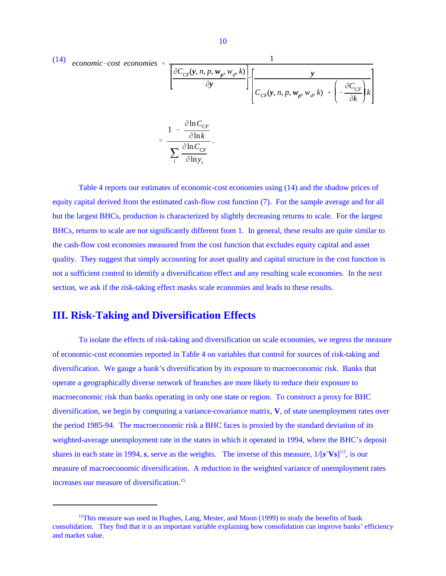(14) economic-cost economics = 
$$
\left[\frac{\partial C_{CF}(y, n, p, w_a, k)}{\partial y}\right] \cdot \left[\frac{y}{C_{CF}(y, n, p, w_a, k) + \left(-\frac{\partial C_{CF}}{\partial k}\right)k}\right]
$$

$$
= \frac{1 - \frac{\partial \ln C_{CF}}{\partial \ln k}}{\sum_{i} \frac{\partial \ln C_{CF}}{\partial \ln y_i}}.
$$

Table 4 reports our estimates of economic-cost economies using (14) and the shadow prices of equity capital derived from the estimated cash-flow cost function (7). For the sample average and for all but the largest BHCs, production is characterized by slightly decreasing returns to scale. For the largest BHCs, returns to scale are not significantly different from 1. In general, these results are quite similar to the cash-flow cost economies measured from the cost function that excludes equity capital and asset quality. They suggest that simply accounting for asset quality and capital structure in the cost function is not a sufficient control to identify a diversification effect and any resulting scale economies. In the next section, we ask if the risk-taking effect masks scale economies and leads to these results.

## **III. Risk-Taking and Diversification Effects**

To isolate the effects of risk-taking and diversification on scale economies, we regress the measure of economic-cost economies reported in Table 4 on variables that control for sources of risk-taking and diversification. We gauge a bank's diversification by its exposure to macroeconomic risk. Banks that operate a geographically diverse network of branches are more likely to reduce their exposure to macroeconomic risk than banks operating in only one state or region. To construct a proxy for BHC diversification, we begin by computing a variance-covariance matrix, **V**, of state unemployment rates over the period 1985-94. The macroeconomic risk a BHC faces is proxied by the standard deviation of its weighted-average unemployment rate in the states in which it operated in 1994, where the BHC's deposit shares in each state in 1994, *s*, serve as the weights. The inverse of this measure,  $1/[s'Vs]^{1/2}$ , is our measure of macroeconomic diversification. A reduction in the weighted variance of unemployment rates increases our measure of diversification.<sup>15</sup>

<sup>&</sup>lt;sup>15</sup>This measure was used in Hughes, Lang, Mester, and Moon (1999) to study the benefits of bank consolidation. They find that it is an important variable explaining how consolidation can improve banks' efficiency and market value.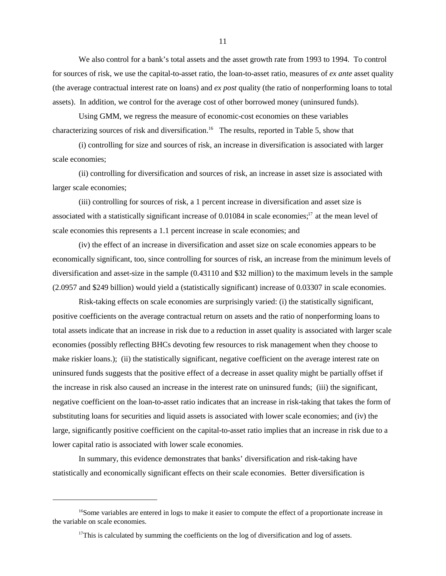We also control for a bank's total assets and the asset growth rate from 1993 to 1994. To control for sources of risk, we use the capital-to-asset ratio, the loan-to-asset ratio, measures of *ex ante* asset quality (the average contractual interest rate on loans) and *ex post* quality (the ratio of nonperforming loans to total assets). In addition, we control for the average cost of other borrowed money (uninsured funds).

Using GMM, we regress the measure of economic-cost economies on these variables characterizing sources of risk and diversification.<sup>16</sup> The results, reported in Table 5, show that

(i) controlling for size and sources of risk, an increase in diversification is associated with larger scale economies;

(ii) controlling for diversification and sources of risk, an increase in asset size is associated with larger scale economies;

(iii) controlling for sources of risk, a 1 percent increase in diversification and asset size is associated with a statistically significant increase of  $0.01084$  in scale economies;<sup>17</sup> at the mean level of scale economies this represents a 1.1 percent increase in scale economies; and

(iv) the effect of an increase in diversification and asset size on scale economies appears to be economically significant, too, since controlling for sources of risk, an increase from the minimum levels of diversification and asset-size in the sample (0.43110 and \$32 million) to the maximum levels in the sample (2.0957 and \$249 billion) would yield a (statistically significant) increase of 0.03307 in scale economies.

Risk-taking effects on scale economies are surprisingly varied: (i) the statistically significant, positive coefficients on the average contractual return on assets and the ratio of nonperforming loans to total assets indicate that an increase in risk due to a reduction in asset quality is associated with larger scale economies (possibly reflecting BHCs devoting few resources to risk management when they choose to make riskier loans.); (ii) the statistically significant, negative coefficient on the average interest rate on uninsured funds suggests that the positive effect of a decrease in asset quality might be partially offset if the increase in risk also caused an increase in the interest rate on uninsured funds; (iii) the significant, negative coefficient on the loan-to-asset ratio indicates that an increase in risk-taking that takes the form of substituting loans for securities and liquid assets is associated with lower scale economies; and (iv) the large, significantly positive coefficient on the capital-to-asset ratio implies that an increase in risk due to a lower capital ratio is associated with lower scale economies.

In summary, this evidence demonstrates that banks' diversification and risk-taking have statistically and economically significant effects on their scale economies. Better diversification is

 $16$ Some variables are entered in logs to make it easier to compute the effect of a proportionate increase in the variable on scale economies.

 $17$ This is calculated by summing the coefficients on the log of diversification and log of assets.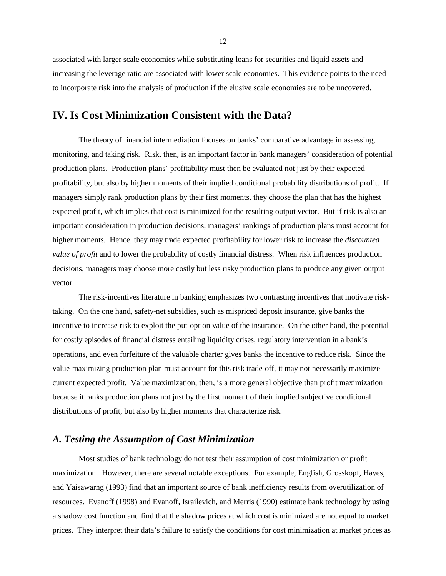associated with larger scale economies while substituting loans for securities and liquid assets and increasing the leverage ratio are associated with lower scale economies. This evidence points to the need to incorporate risk into the analysis of production if the elusive scale economies are to be uncovered.

## **IV. Is Cost Minimization Consistent with the Data?**

The theory of financial intermediation focuses on banks' comparative advantage in assessing, monitoring, and taking risk. Risk, then, is an important factor in bank managers' consideration of potential production plans. Production plans' profitability must then be evaluated not just by their expected profitability, but also by higher moments of their implied conditional probability distributions of profit. If managers simply rank production plans by their first moments, they choose the plan that has the highest expected profit, which implies that cost is minimized for the resulting output vector. But if risk is also an important consideration in production decisions, managers' rankings of production plans must account for higher moments. Hence, they may trade expected profitability for lower risk to increase the *discounted value of profit* and to lower the probability of costly financial distress. When risk influences production decisions, managers may choose more costly but less risky production plans to produce any given output vector.

The risk-incentives literature in banking emphasizes two contrasting incentives that motivate risktaking. On the one hand, safety-net subsidies, such as mispriced deposit insurance, give banks the incentive to increase risk to exploit the put-option value of the insurance. On the other hand, the potential for costly episodes of financial distress entailing liquidity crises, regulatory intervention in a bank's operations, and even forfeiture of the valuable charter gives banks the incentive to reduce risk. Since the value-maximizing production plan must account for this risk trade-off, it may not necessarily maximize current expected profit. Value maximization, then, is a more general objective than profit maximization because it ranks production plans not just by the first moment of their implied subjective conditional distributions of profit, but also by higher moments that characterize risk.

#### *A. Testing the Assumption of Cost Minimization*

Most studies of bank technology do not test their assumption of cost minimization or profit maximization. However, there are several notable exceptions. For example, English, Grosskopf, Hayes, and Yaisawarng (1993) find that an important source of bank inefficiency results from overutilization of resources. Evanoff (1998) and Evanoff, Israilevich, and Merris (1990) estimate bank technology by using a shadow cost function and find that the shadow prices at which cost is minimized are not equal to market prices. They interpret their data's failure to satisfy the conditions for cost minimization at market prices as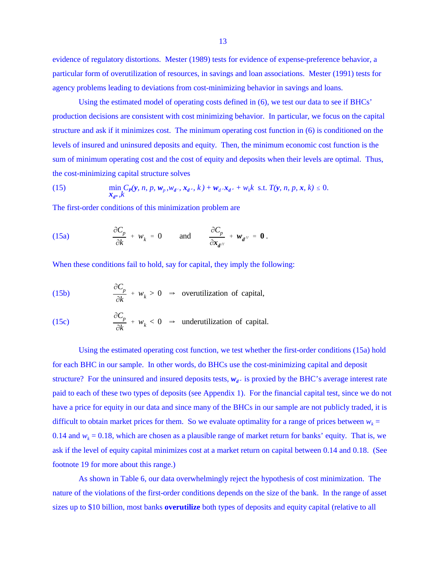evidence of regulatory distortions. Mester (1989) tests for evidence of expense-preference behavior, a particular form of overutilization of resources, in savings and loan associations. Mester (1991) tests for agency problems leading to deviations from cost-minimizing behavior in savings and loans.

Using the estimated model of operating costs defined in (6), we test our data to see if BHCs' production decisions are consistent with cost minimizing behavior. In particular, we focus on the capital structure and ask if it minimizes cost. The minimum operating cost function in (6) is conditioned on the levels of insured and uninsured deposits and equity. Then, the minimum economic cost function is the sum of minimum operating cost and the cost of equity and deposits when their levels are optimal. Thus, the cost-minimizing capital structure solves

(15) 
$$
\min_{\mathbf{x}_{d''}, k} C_p(\mathbf{y}, n, p, \mathbf{w}_p, w_{d'}, \mathbf{x}_{d'}, k) + \mathbf{w}_{d'} \mathbf{x}_{d'} + w_k k \text{ s.t. } T(\mathbf{y}, n, p, \mathbf{x}, k) \leq 0.
$$

The first-order conditions of this minimization problem are

(15a) 
$$
\frac{\partial C_p}{\partial k} + w_k = 0 \quad \text{and} \quad \frac{\partial C_p}{\partial x_{d''}} + w_{d''} = 0.
$$

When these conditions fail to hold, say for capital, they imply the following:

(15b) 
$$
\frac{\partial C_p}{\partial k} + w_k > 0 \Rightarrow \text{overutilization of capital,}
$$

(15c) 
$$
\frac{\partial C_p}{\partial k} + w_k < 0 \Rightarrow \text{ underutilization of capital.}
$$

Using the estimated operating cost function, we test whether the first-order conditions (15a) hold for each BHC in our sample. In other words, do BHCs use the cost-minimizing capital and deposit structure? For the uninsured and insured deposits tests,  $w_d$  is proxied by the BHC's average interest rate paid to each of these two types of deposits (see Appendix 1). For the financial capital test, since we do not have a price for equity in our data and since many of the BHCs in our sample are not publicly traded, it is difficult to obtain market prices for them. So we evaluate optimality for a range of prices between  $w_k =$ 0.14 and  $w_k = 0.18$ , which are chosen as a plausible range of market return for banks' equity. That is, we ask if the level of equity capital minimizes cost at a market return on capital between 0.14 and 0.18. (See footnote 19 for more about this range.)

As shown in Table 6, our data overwhelmingly reject the hypothesis of cost minimization. The nature of the violations of the first-order conditions depends on the size of the bank. In the range of asset sizes up to \$10 billion, most banks **overutilize** both types of deposits and equity capital (relative to all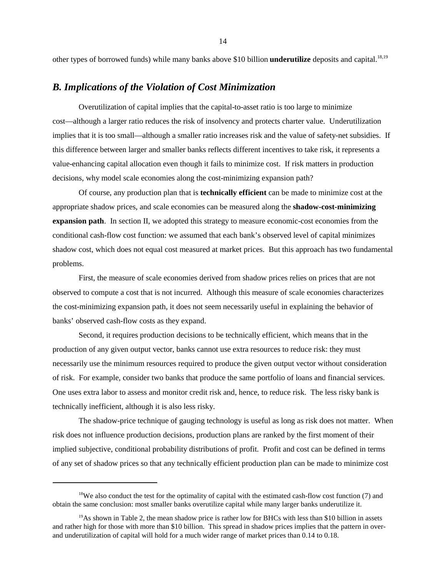other types of borrowed funds) while many banks above \$10 billion **underutilize** deposits and capital.<sup>18,19</sup>

#### *B. Implications of the Violation of Cost Minimization*

Overutilization of capital implies that the capital-to-asset ratio is too large to minimize cost—although a larger ratio reduces the risk of insolvency and protects charter value. Underutilization implies that it is too small—although a smaller ratio increases risk and the value of safety-net subsidies. If this difference between larger and smaller banks reflects different incentives to take risk, it represents a value-enhancing capital allocation even though it fails to minimize cost. If risk matters in production decisions, why model scale economies along the cost-minimizing expansion path?

Of course, any production plan that is **technically efficient** can be made to minimize cost at the appropriate shadow prices, and scale economies can be measured along the **shadow-cost-minimizing expansion path**. In section II, we adopted this strategy to measure economic-cost economies from the conditional cash-flow cost function: we assumed that each bank's observed level of capital minimizes shadow cost, which does not equal cost measured at market prices. But this approach has two fundamental problems.

First, the measure of scale economies derived from shadow prices relies on prices that are not observed to compute a cost that is not incurred. Although this measure of scale economies characterizes the cost-minimizing expansion path, it does not seem necessarily useful in explaining the behavior of banks' observed cash-flow costs as they expand.

Second, it requires production decisions to be technically efficient, which means that in the production of any given output vector, banks cannot use extra resources to reduce risk: they must necessarily use the minimum resources required to produce the given output vector without consideration of risk. For example, consider two banks that produce the same portfolio of loans and financial services. One uses extra labor to assess and monitor credit risk and, hence, to reduce risk. The less risky bank is technically inefficient, although it is also less risky.

The shadow-price technique of gauging technology is useful as long as risk does not matter. When risk does not influence production decisions, production plans are ranked by the first moment of their implied subjective, conditional probability distributions of profit. Profit and cost can be defined in terms of any set of shadow prices so that any technically efficient production plan can be made to minimize cost

<sup>&</sup>lt;sup>18</sup>We also conduct the test for the optimality of capital with the estimated cash-flow cost function (7) and obtain the same conclusion: most smaller banks overutilize capital while many larger banks underutilize it.

<sup>&</sup>lt;sup>19</sup>As shown in Table 2, the mean shadow price is rather low for BHCs with less than \$10 billion in assets and rather high for those with more than \$10 billion. This spread in shadow prices implies that the pattern in overand underutilization of capital will hold for a much wider range of market prices than 0.14 to 0.18.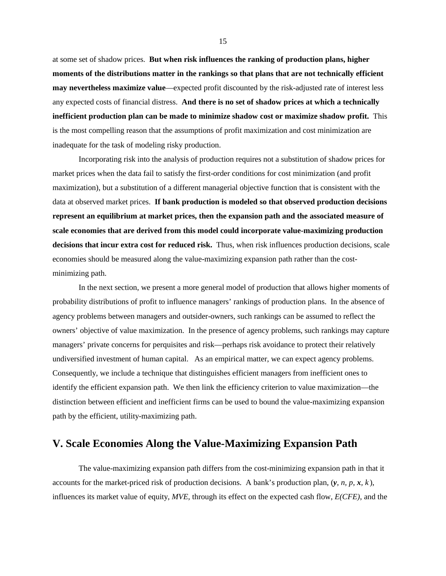at some set of shadow prices. **But when risk influences the ranking of production plans, higher moments of the distributions matter in the rankings so that plans that are not technically efficient may nevertheless maximize value**—expected profit discounted by the risk-adjusted rate of interest less any expected costs of financial distress. **And there is no set of shadow prices at which a technically inefficient production plan can be made to minimize shadow cost or maximize shadow profit.** This is the most compelling reason that the assumptions of profit maximization and cost minimization are inadequate for the task of modeling risky production.

Incorporating risk into the analysis of production requires not a substitution of shadow prices for market prices when the data fail to satisfy the first-order conditions for cost minimization (and profit maximization), but a substitution of a different managerial objective function that is consistent with the data at observed market prices. **If bank production is modeled so that observed production decisions represent an equilibrium at market prices, then the expansion path and the associated measure of scale economies that are derived from this model could incorporate value-maximizing production decisions that incur extra cost for reduced risk.** Thus, when risk influences production decisions, scale economies should be measured along the value-maximizing expansion path rather than the costminimizing path.

In the next section, we present a more general model of production that allows higher moments of probability distributions of profit to influence managers' rankings of production plans. In the absence of agency problems between managers and outsider-owners, such rankings can be assumed to reflect the owners' objective of value maximization. In the presence of agency problems, such rankings may capture managers' private concerns for perquisites and risk—perhaps risk avoidance to protect their relatively undiversified investment of human capital. As an empirical matter, we can expect agency problems. Consequently, we include a technique that distinguishes efficient managers from inefficient ones to identify the efficient expansion path. We then link the efficiency criterion to value maximization—the distinction between efficient and inefficient firms can be used to bound the value-maximizing expansion path by the efficient, utility-maximizing path.

## **V. Scale Economies Along the Value-Maximizing Expansion Path**

The value-maximizing expansion path differs from the cost-minimizing expansion path in that it accounts for the market-priced risk of production decisions. A bank's production plan, (*y, n, p, x, k* ), influences its market value of equity, *MVE*, through its effect on the expected cash flow, *E(CFE)*, and the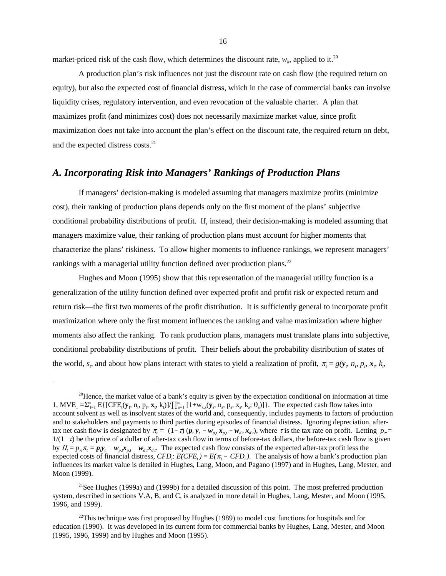market-priced risk of the cash flow, which determines the discount rate,  $w_k$ , applied to it.<sup>20</sup>

A production plan's risk influences not just the discount rate on cash flow (the required return on equity), but also the expected cost of financial distress, which in the case of commercial banks can involve liquidity crises, regulatory intervention, and even revocation of the valuable charter. A plan that maximizes profit (and minimizes cost) does not necessarily maximize market value, since profit maximization does not take into account the plan's effect on the discount rate, the required return on debt, and the expected distress costs.<sup>21</sup>

#### *A. Incorporating Risk into Managers' Rankings of Production Plans*

If managers' decision-making is modeled assuming that managers maximize profits (minimize cost), their ranking of production plans depends only on the first moment of the plans' subjective conditional probability distributions of profit. If, instead, their decision-making is modeled assuming that managers maximize value, their ranking of production plans must account for higher moments that characterize the plans' riskiness. To allow higher moments to influence rankings, we represent managers' rankings with a managerial utility function defined over production plans.<sup>22</sup>

Hughes and Moon (1995) show that this representation of the managerial utility function is a generalization of the utility function defined over expected profit and profit risk or expected return and return risk—the first two moments of the profit distribution. It is sufficiently general to incorporate profit maximization where only the first moment influences the ranking and value maximization where higher moments also affect the ranking. To rank production plans, managers must translate plans into subjective, conditional probability distributions of profit. Their beliefs about the probability distribution of states of the world, *s<sub>t</sub>*, and about how plans interact with states to yield a realization of profit,  $\pi_t = g(y_t, n_t, p_t, x_t, k_t,$ 

 $^{20}$ Hence, the market value of a bank's equity is given by the expectation conditional on information at time 1, MVE<sub>1</sub> = $\sum_{i=1}^n E\{[CFE_i(\mathbf{y}_i, \mathbf{n}_i, \mathbf{p}_i, \mathbf{x}_i, \mathbf{k}_i)] / \int_{-\infty}^{\infty} [1 + w_{k,s}(\mathbf{y}_s, \mathbf{n}_s, \mathbf{p}_s, \mathbf{x}_s, \mathbf{k}_s; \theta_s)]\}$ . The expected cash flow takes into account solvent as well as insolvent states of the world and, consequently, includes payments to factors of production and to stakeholders and payments to third parties during episodes of financial distress. Ignoring depreciation, aftertax net cash flow is designated by  $\pi_i = (1-\tau) (p_t y_t - w_{p,t} x_{p,t} - w_{d,t} x_{d,t})$ , where  $\tau$  is the tax rate on profit. Letting  $p_{\pi} =$  $1/(1 - \tau)$  be the price of a dollar of after-tax cash flow in terms of before-tax dollars, the before-tax cash flow is given by  $\Pi_t = p_{\pi} \pi_t = p y_t - w_{p,\pi} x_{p,t} - w_{d,\pi} x_{d,t}$ . The expected cash flow consists of the expected after-tax profit less the expected costs of financial distress, *CFD*;  $E(CFE_i) = E(\pi_t - CFD_i)$ . The analysis of how a bank's production plan influences its market value is detailed in Hughes, Lang, Moon, and Pagano (1997) and in Hughes, Lang, Mester, and Moon (1999).

<sup>&</sup>lt;sup>21</sup>See Hughes (1999a) and (1999b) for a detailed discussion of this point. The most preferred production system, described in sections V.A, B, and C, is analyzed in more detail in Hughes, Lang, Mester, and Moon (1995, 1996, and 1999).

 $22$ This technique was first proposed by Hughes (1989) to model cost functions for hospitals and for education (1990). It was developed in its current form for commercial banks by Hughes, Lang, Mester, and Moon (1995, 1996, 1999) and by Hughes and Moon (1995).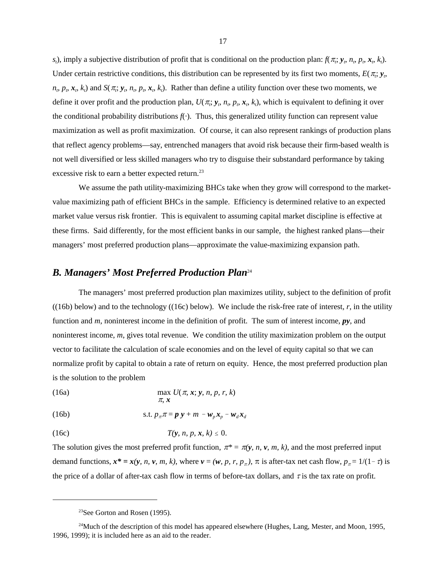$s_i$ ), imply a subjective distribution of profit that is conditional on the production plan:  $f(\pi_i; y_i, n_i, p_i, x_i, k_i)$ . Under certain restrictive conditions, this distribution can be represented by its first two moments,  $E(\pi_i; y_i)$  $n_i$ ,  $p_i$ ,  $x_i$ ,  $k_i$ ) and  $S(\pi_i; y_i, n_i, p_i, x_i, k_i)$ . Rather than define a utility function over these two moments, we define it over profit and the production plan,  $U(\pi_i; y_i, n_i, p_i, x_i, k_i)$ , which is equivalent to defining it over the conditional probability distributions  $f(\cdot)$ . Thus, this generalized utility function can represent value maximization as well as profit maximization. Of course, it can also represent rankings of production plans that reflect agency problems—say, entrenched managers that avoid risk because their firm-based wealth is not well diversified or less skilled managers who try to disguise their substandard performance by taking excessive risk to earn a better expected return.<sup>23</sup>

We assume the path utility-maximizing BHCs take when they grow will correspond to the marketvalue maximizing path of efficient BHCs in the sample. Efficiency is determined relative to an expected market value versus risk frontier. This is equivalent to assuming capital market discipline is effective at these firms. Said differently, for the most efficient banks in our sample, the highest ranked plans—their managers' most preferred production plans—approximate the value-maximizing expansion path.

## *B. Managers' Most Preferred Production Plan*<sup>24</sup>

The managers' most preferred production plan maximizes utility, subject to the definition of profit  $((16b)$  below) and to the technology  $((16c)$  below). We include the risk-free rate of interest,  $r$ , in the utility function and *m*, noninterest income in the definition of profit. The sum of interest income, *py*, and noninterest income, *m*, gives total revenue. We condition the utility maximization problem on the output vector to facilitate the calculation of scale economies and on the level of equity capital so that we can normalize profit by capital to obtain a rate of return on equity. Hence, the most preferred production plan is the solution to the problem

(16a) 
$$
\max \limits_{\pi, \mathbf{x}} U(\pi, \mathbf{x}; \mathbf{y}, n, p, r, k)
$$

(16b) s.t. 
$$
p_{\pi}\pi = \mathbf{p}\mathbf{y} + m - \mathbf{w}_p\mathbf{x}_p - \mathbf{w}_d\mathbf{x}_d
$$

$$
(16c) \t\t T(y, n, p, x, k) \leq 0.
$$

The solution gives the most preferred profit function,  $\pi^* = \pi(y, n, v, m, k)$ , and the most preferred input demand functions,  $x^* = x(y, n, v, m, k)$ , where  $v = (w, p, r, p_\pi)$ ,  $\pi$  is after-tax net cash flow,  $p_\pi = 1/(1-\tau)$  is the price of a dollar of after-tax cash flow in terms of before-tax dollars, and  $\tau$  is the tax rate on profit.

 $23$ See Gorton and Rosen (1995).

 $24$ Much of the description of this model has appeared elsewhere (Hughes, Lang, Mester, and Moon, 1995, 1996, 1999); it is included here as an aid to the reader.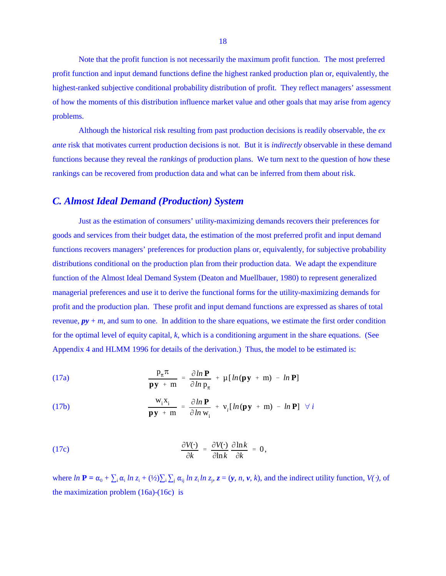Note that the profit function is not necessarily the maximum profit function. The most preferred profit function and input demand functions define the highest ranked production plan or, equivalently, the highest-ranked subjective conditional probability distribution of profit. They reflect managers' assessment of how the moments of this distribution influence market value and other goals that may arise from agency problems.

Although the historical risk resulting from past production decisions is readily observable, the *ex ante* risk that motivates current production decisions is not. But it is *indirectly* observable in these demand functions because they reveal the *rankings* of production plans. We turn next to the question of how these rankings can be recovered from production data and what can be inferred from them about risk.

## *C. Almost Ideal Demand (Production) System*

Just as the estimation of consumers' utility-maximizing demands recovers their preferences for goods and services from their budget data, the estimation of the most preferred profit and input demand functions recovers managers' preferences for production plans or, equivalently, for subjective probability distributions conditional on the production plan from their production data. We adapt the expenditure function of the Almost Ideal Demand System (Deaton and Muellbauer, 1980) to represent generalized managerial preferences and use it to derive the functional forms for the utility-maximizing demands for profit and the production plan. These profit and input demand functions are expressed as shares of total revenue,  $py + m$ , and sum to one. In addition to the share equations, we estimate the first order condition for the optimal level of equity capital, *k*, which is a conditioning argument in the share equations. (See Appendix 4 and HLMM 1996 for details of the derivation.) Thus, the model to be estimated is:

(17a) 
$$
\frac{p_{\pi}\pi}{py + m} = \frac{\partial \ln \mathbf{P}}{\partial \ln p_{\pi}} + \mu [\ln (py + m) - \ln P]
$$

(17b) 
$$
\frac{w_i x_i}{py + m} = \frac{\partial \ln P}{\partial \ln w_i} + v_i [\ln (py + m) - \ln P] \quad \forall i
$$

(17c) 
$$
\frac{\partial V(\cdot)}{\partial k} = \frac{\partial V(\cdot)}{\partial \ln k} \frac{\partial \ln k}{\partial k} = 0,
$$

where  $\ln \mathbf{P} = \alpha_0 + \sum_i \alpha_i \ln z_i + (\frac{1}{2}) \sum_i \sum_j \alpha_{ij} \ln z_i \ln z_j$ ,  $z = (y, n, v, k)$ , and the indirect utility function,  $V(\cdot)$ , of the maximization problem (16a)-(16c) is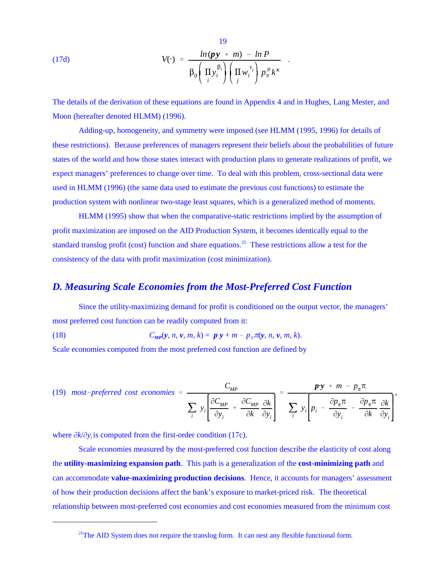(17d) 
$$
V(\cdot) = \frac{\ln(p\mathbf{y} + m) - \ln P}{\beta_0 \left(\frac{\Pi y_i^{\beta_i}}{i}\right) \left(\frac{\Pi w_i^{\nu_j}}{j}\right) p_\pi^{\mu} k^{\kappa}}
$$

The details of the derivation of these equations are found in Appendix 4 and in Hughes, Lang Mester, and Moon (hereafter denoted HLMM) (1996).

Adding-up, homogeneity, and symmetry were imposed (see HLMM (1995, 1996) for details of these restrictions). Because preferences of managers represent their beliefs about the probabilities of future states of the world and how those states interact with production plans to generate realizations of profit, we expect managers' preferences to change over time. To deal with this problem, cross-sectional data were used in HLMM (1996) (the same data used to estimate the previous cost functions) to estimate the production system with nonlinear two-stage least squares, which is a generalized method of moments.

HLMM (1995) show that when the comparative-static restrictions implied by the assumption of profit maximization are imposed on the AID Production System, it becomes identically equal to the standard translog profit (cost) function and share equations.<sup>25</sup> These restrictions allow a test for the consistency of the data with profit maximization (cost minimization).

#### *D. Measuring Scale Economies from the Most-Preferred Cost Function*

Since the utility-maximizing demand for profit is conditioned on the output vector, the managers' most preferred cost function can be readily computed from it:

(18)  $C_{MP}(y, n, v, m, k) = p y + m - p_{\pi} \pi(y, n, v, m, k).$ 

Scale economies computed from the most preferred cost function are defined by

(19) most-preferred cost economics = 
$$
\frac{C_{MP}}{\sum_{i} y_{i} \left[ \frac{\partial C_{MP}}{\partial y_{i}} + \frac{\partial C_{MP}}{\partial k} \frac{\partial k}{\partial y_{i}} \right]} = \frac{P \cdot y + m - p_{\pi} \pi}{\sum_{i} y_{i} \left[ p_{i} - \frac{\partial p_{\pi} \pi}{\partial y_{i}} - \frac{\partial p_{\pi} \pi}{\partial k} \frac{\partial k}{\partial y_{i}} \right]}
$$

,

where  $\partial k/\partial y_i$  is computed from the first-order condition (17c).

Scale economies measured by the most-preferred cost function describe the elasticity of cost along the **utility-maximizing expansion path**. This path is a generalization of the **cost-minimizing path** and can accommodate **value-maximizing production decisions**. Hence, it accounts for managers' assessment of how their production decisions affect the bank's exposure to market-priced risk. The theoretical relationship between most-preferred cost economies and cost economies measured from the minimum cost

<sup>&</sup>lt;sup>25</sup>The AID System does not require the translog form. It can nest any flexible functional form.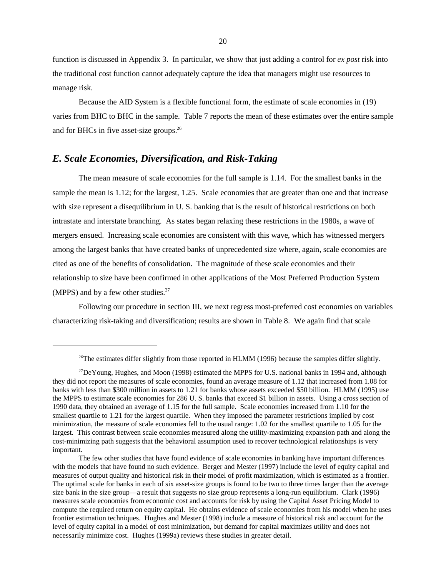function is discussed in Appendix 3. In particular, we show that just adding a control for *ex post* risk into the traditional cost function cannot adequately capture the idea that managers might use resources to manage risk.

Because the AID System is a flexible functional form, the estimate of scale economies in (19) varies from BHC to BHC in the sample. Table 7 reports the mean of these estimates over the entire sample and for BHCs in five asset-size groups. 26

#### *E. Scale Economies, Diversification, and Risk-Taking*

The mean measure of scale economies for the full sample is 1.14. For the smallest banks in the sample the mean is 1.12; for the largest, 1.25. Scale economies that are greater than one and that increase with size represent a disequilibrium in U. S. banking that is the result of historical restrictions on both intrastate and interstate branching. As states began relaxing these restrictions in the 1980s, a wave of mergers ensued. Increasing scale economies are consistent with this wave, which has witnessed mergers among the largest banks that have created banks of unprecedented size where, again, scale economies are cited as one of the benefits of consolidation. The magnitude of these scale economies and their relationship to size have been confirmed in other applications of the Most Preferred Production System (MPPS) and by a few other studies.<sup>27</sup>

Following our procedure in section III, we next regress most-preferred cost economies on variables characterizing risk-taking and diversification; results are shown in Table 8. We again find that scale

<sup>&</sup>lt;sup>26</sup>The estimates differ slightly from those reported in HLMM (1996) because the samples differ slightly.

 $^{27}$ DeYoung, Hughes, and Moon (1998) estimated the MPPS for U.S. national banks in 1994 and, although they did not report the measures of scale economies, found an average measure of 1.12 that increased from 1.08 for banks with less than \$300 million in assets to 1.21 for banks whose assets exceeded \$50 billion. HLMM (1995) use the MPPS to estimate scale economies for 286 U. S. banks that exceed \$1 billion in assets. Using a cross section of 1990 data, they obtained an average of 1.15 for the full sample. Scale economies increased from 1.10 for the smallest quartile to 1.21 for the largest quartile. When they imposed the parameter restrictions implied by cost minimization, the measure of scale economies fell to the usual range: 1.02 for the smallest quartile to 1.05 for the largest. This contrast between scale economies measured along the utility-maximizing expansion path and along the cost-minimizing path suggests that the behavioral assumption used to recover technological relationships is very important.

The few other studies that have found evidence of scale economies in banking have important differences with the models that have found no such evidence. Berger and Mester (1997) include the level of equity capital and measures of output quality and historical risk in their model of profit maximization, which is estimated as a frontier. The optimal scale for banks in each of six asset-size groups is found to be two to three times larger than the average size bank in the size group—a result that suggests no size group represents a long-run equilibrium. Clark (1996) measures scale economies from economic cost and accounts for risk by using the Capital Asset Pricing Model to compute the required return on equity capital. He obtains evidence of scale economies from his model when he uses frontier estimation techniques. Hughes and Mester (1998) include a measure of historical risk and account for the level of equity capital in a model of cost minimization, but demand for capital maximizes utility and does not necessarily minimize cost. Hughes (1999a) reviews these studies in greater detail.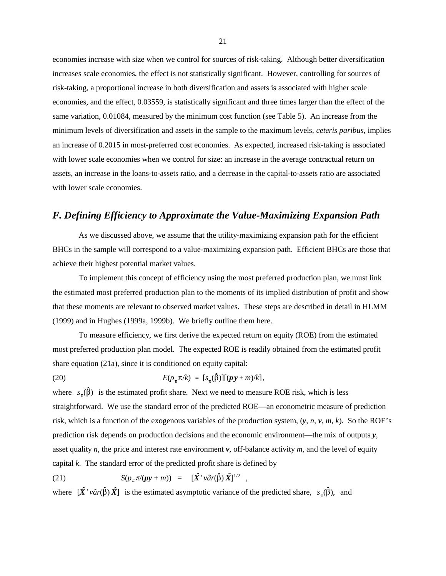economies increase with size when we control for sources of risk-taking. Although better diversification increases scale economies, the effect is not statistically significant. However, controlling for sources of risk-taking, a proportional increase in both diversification and assets is associated with higher scale economies, and the effect, 0.03559, is statistically significant and three times larger than the effect of the same variation, 0.01084, measured by the minimum cost function (see Table 5). An increase from the minimum levels of diversification and assets in the sample to the maximum levels, *ceteris paribus*, implies an increase of 0.2015 in most-preferred cost economies. As expected, increased risk-taking is associated with lower scale economies when we control for size: an increase in the average contractual return on assets, an increase in the loans-to-assets ratio, and a decrease in the capital-to-assets ratio are associated with lower scale economies.

#### *F. Defining Efficiency to Approximate the Value-Maximizing Expansion Path*

As we discussed above, we assume that the utility-maximizing expansion path for the efficient BHCs in the sample will correspond to a value-maximizing expansion path. Efficient BHCs are those that achieve their highest potential market values.

To implement this concept of efficiency using the most preferred production plan, we must link the estimated most preferred production plan to the moments of its implied distribution of profit and show that these moments are relevant to observed market values. These steps are described in detail in HLMM (1999) and in Hughes (1999a, 1999b). We briefly outline them here.

To measure efficiency, we first derive the expected return on equity (ROE) from the estimated most preferred production plan model. The expected ROE is readily obtained from the estimated profit share equation (21a), since it is conditioned on equity capital:

(20) 
$$
E(p_{\pi}\pi/k) = [s_{\pi}(\hat{\beta})][(py+m)/k],
$$

where  $s_{\pi}(\hat{\beta})$  is the estimated profit share. Next we need to measure ROE risk, which is less straightforward. We use the standard error of the predicted ROE—an econometric measure of prediction risk, which is a function of the exogenous variables of the production system, (*y, n, v, m, k*). So the ROE's prediction risk depends on production decisions and the economic environment—the mix of outputs *y*, asset quality *n*, the price and interest rate environment *v*, off-balance activity *m*, and the level of equity capital *k*. The standard error of the predicted profit share is defined by

(21)  $S(p_{\pi} \pi/(py + m)) = [\hat{X}^{\'} \nu \hat{a}r(\hat{\beta}) \hat{X}]^{1/2},$ 

where  $[\hat{X}'\hat{var}(\hat{\beta})\hat{X}]$  is the estimated asymptotic variance of the predicted share,  $s_{\pi}(\hat{\beta})$ , and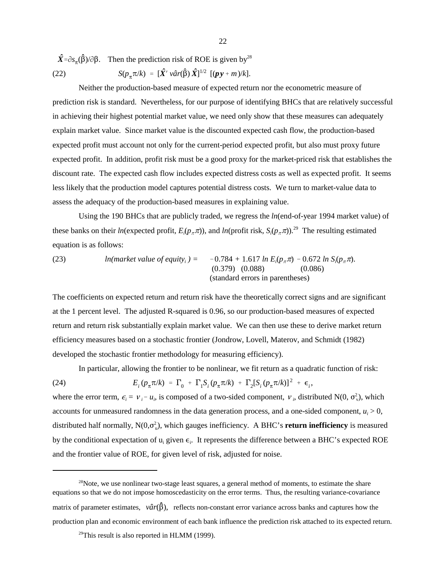$\hat{X} = \partial s_{\pi}(\hat{\beta})/\partial \beta$ . Then the prediction risk of ROE is given by<sup>28</sup>  $S(p_{\pi}\pi/k) = [\hat{X}^{\prime} \text{ } v \hat{a}r(\hat{\beta}) \hat{X}]^{1/2}$  [( $py + m$ )/k]. (22)

Neither the production-based measure of expected return nor the econometric measure of prediction risk is standard. Nevertheless, for our purpose of identifying BHCs that are relatively successful in achieving their highest potential market value, we need only show that these measures can adequately explain market value. Since market value is the discounted expected cash flow, the production-based expected profit must account not only for the current-period expected profit, but also must proxy future expected profit. In addition, profit risk must be a good proxy for the market-priced risk that establishes the discount rate. The expected cash flow includes expected distress costs as well as expected profit. It seems less likely that the production model captures potential distress costs. We turn to market-value data to assess the adequacy of the production-based measures in explaining value.

Using the 190 BHCs that are publicly traded, we regress the *ln*(end-of-year 1994 market value) of these banks on their *ln*(expected profit,  $E_i(p_\pi \pi)$ ), and *ln*(profit risk,  $S_i(p_\pi \pi)$ ).<sup>29</sup> The resulting estimated equation is as follows:

(23) 
$$
ln(maxket \ value \ of \ equity_{i}) = -0.784 + 1.617 \ ln E_{i}(p_{\pi}\pi) - 0.672 \ ln S_{i}(p_{\pi}\pi).
$$

$$
(0.379) (0.088) (standard errors in parentheses)
$$

The coefficients on expected return and return risk have the theoretically correct signs and are significant at the 1 percent level. The adjusted R-squared is 0.96, so our production-based measures of expected return and return risk substantially explain market value. We can then use these to derive market return efficiency measures based on a stochastic frontier (Jondrow, Lovell, Materov, and Schmidt (1982) developed the stochastic frontier methodology for measuring efficiency).

In particular, allowing the frontier to be nonlinear, we fit return as a quadratic function of risk:

(24) 
$$
E_i (p_\pi \pi / k) = \Gamma_0 + \Gamma_1 S_i (p_\pi \pi / k) + \Gamma_2 [S_i (p_\pi \pi / k)]^2 + \epsilon_i,
$$

where the error term,  $\epsilon_i = v_i - u_i$ , is composed of a two-sided component,  $v_i$ , distributed N(0,  $\sigma_v^2$ ), which accounts for unmeasured randomness in the data generation process, and a one-sided component,  $u_i > 0$ , distributed half normally,  $N(0,\sigma^2_u)$ , which gauges inefficiency. A BHC's **return inefficiency** is measured by the conditional expectation of  $u_i$  given  $\epsilon_i$ . It represents the difference between a BHC's expected ROE and the frontier value of ROE, for given level of risk, adjusted for noise.

matrix of parameter estimates,  $v\hat{a}r(\hat{\beta})$ , reflects non-constant error variance across banks and captures how the  $28$ Note, we use nonlinear two-stage least squares, a general method of moments, to estimate the share equations so that we do not impose homoscedasticity on the error terms. Thus, the resulting variance-covariance production plan and economic environment of each bank influence the prediction risk attached to its expected return.

 $29$ This result is also reported in HLMM (1999).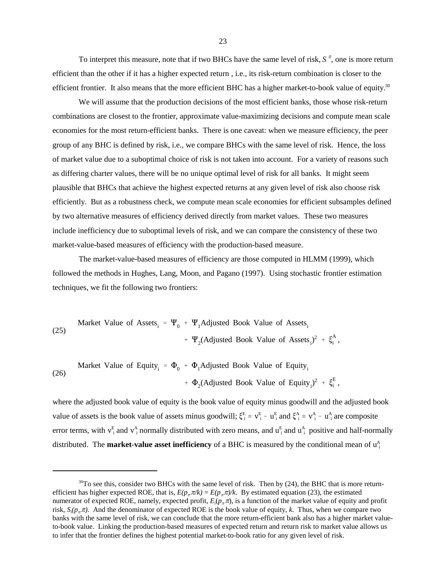To interpret this measure, note that if two BHCs have the same level of risk,  $S<sup>0</sup>$ , one is more return efficient than the other if it has a higher expected return , i.e., its risk-return combination is closer to the efficient frontier. It also means that the more efficient BHC has a higher market-to-book value of equity.<sup>30</sup>

We will assume that the production decisions of the most efficient banks, those whose risk-return combinations are closest to the frontier, approximate value-maximizing decisions and compute mean scale economies for the most return-efficient banks. There is one caveat: when we measure efficiency, the peer group of any BHC is defined by risk, i.e., we compare BHCs with the same level of risk. Hence, the loss of market value due to a suboptimal choice of risk is not taken into account. For a variety of reasons such as differing charter values, there will be no unique optimal level of risk for all banks. It might seem plausible that BHCs that achieve the highest expected returns at any given level of risk also choose risk efficiently. But as a robustness check, we compute mean scale economies for efficient subsamples defined by two alternative measures of efficiency derived directly from market values. These two measures include inefficiency due to suboptimal levels of risk, and we can compare the consistency of these two market-value-based measures of efficiency with the production-based measure.

The market-value-based measures of efficiency are those computed in HLMM (1999), which followed the methods in Hughes, Lang, Moon, and Pagano (1997). Using stochastic frontier estimation techniques, we fit the following two frontiers:

Market Value of Assets<sub>i</sub> = 
$$
\Psi_0 + \Psi_1
$$
 Adjusted Book Value of Assets<sub>i</sub>  
+  $\Psi_2$ (Adjusted Book Value of Assets<sub>i</sub>)<sup>2</sup> +  $\xi_1^A$ ,

Market Value of Equity<sub>i</sub> =  $\Phi_0$  +  $\Phi_1$ Adjusted Book Value of Equity<sub>i</sub> +  $\Phi_2$ (Adjusted Book Value of Equity<sub>i</sub>)<sup>2</sup> +  $\xi_i^E$ , (26)

where the adjusted book value of equity is the book value of equity minus goodwill and the adjusted book value of assets is the book value of assets minus goodwill;  $\xi_i^E = v_i^E - u_i^E$  and  $\xi_i^A = v_i^A - u_i^A$  are composite error terms, with  $v_i^E$  and  $v_i^A$  normally distributed with zero means, and  $u_i^E$  and  $u_i^A$  positive and half-normally distributed. The **market-value asset inefficiency** of a BHC is measured by the conditional mean of  $u_i^A$ 

 $30$ To see this, consider two BHCs with the same level of risk. Then by (24), the BHC that is more returnefficient has higher expected ROE, that is,  $E(p_\pi \pi / k) = E(p_\pi \pi / k)$ . By estimated equation (23), the estimated numerator of expected ROE, namely, expected profit,  $E_i(p, \pi)$ , is a function of the market value of equity and profit risk,  $S_i(p_*\pi)$ . And the denominator of expected ROE is the book value of equity, *k*. Thus, when we compare two banks with the same level of risk, we can conclude that the more return-efficient bank also has a higher market valueto-book value. Linking the production-based measures of expected return and return risk to market value allows us to infer that the frontier defines the highest potential market-to-book ratio for any given level of risk.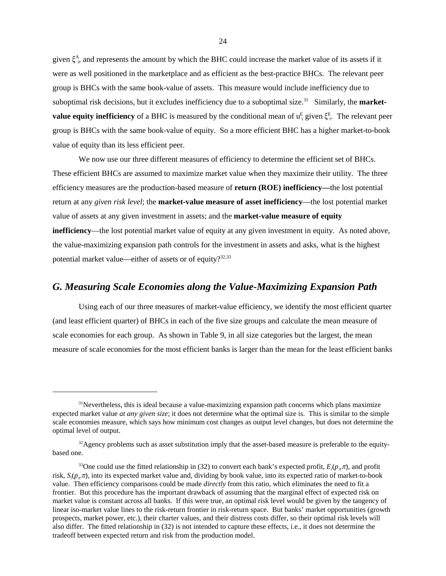given  $\xi^A$ , and represents the amount by which the BHC could increase the market value of its assets if it were as well positioned in the marketplace and as efficient as the best-practice BHCs. The relevant peer group is BHCs with the same book-value of assets. This measure would include inefficiency due to suboptimal risk decisions, but it excludes inefficiency due to a suboptimal size.<sup>31</sup> Similarly, the **marketvalue equity inefficiency** of a BHC is measured by the conditional mean of  $u_i^E$  given  $\xi_i^E$ . The relevant peer group is BHCs with the same book-value of equity. So a more efficient BHC has a higher market-to-book value of equity than its less efficient peer.

We now use our three different measures of efficiency to determine the efficient set of BHCs. These efficient BHCs are assumed to maximize market value when they maximize their utility. The three efficiency measures are the production-based measure of **return (ROE) inefficiency—**the lost potential return at any *given risk level*; the **market-value measure of asset inefficiency**—the lost potential market value of assets at any given investment in assets; and the **market-value measure of equity inefficiency—the lost potential market value of equity at any given investment in equity. As noted above,** the value-maximizing expansion path controls for the investment in assets and asks, what is the highest potential market value—either of assets or of equity?<sup>32,33</sup>

#### *G. Measuring Scale Economies along the Value-Maximizing Expansion Path*

Using each of our three measures of market-value efficiency, we identify the most efficient quarter (and least efficient quarter) of BHCs in each of the five size groups and calculate the mean measure of scale economies for each group. As shown in Table 9, in all size categories but the largest, the mean measure of scale economies for the most efficient banks is larger than the mean for the least efficient banks

 $31$ Nevertheless, this is ideal because a value-maximizing expansion path concerns which plans maximize expected market value *at any given size*; it does not determine what the optimal size is. This is similar to the simple scale economies measure, which says how minimum cost changes as output level changes, but does not determine the optimal level of output.

 $32$ Agency problems such as asset substitution imply that the asset-based measure is preferable to the equitybased one.

<sup>&</sup>lt;sup>33</sup>One could use the fitted relationship in (32) to convert each bank's expected profit,  $E_i(p_{\pi}\pi)$ , and profit risk,  $S_i(p_\pi \pi)$ , into its expected market value and, dividing by book value, into its expected ratio of market-to-book value. Then efficiency comparisons could be made *directly* from this ratio, which eliminates the need to fit a frontier. But this procedure has the important drawback of assuming that the marginal effect of expected risk on market value is constant across all banks. If this were true, an optimal risk level would be given by the tangency of linear iso-market value lines to the risk-return frontier in risk-return space. But banks' market opportunities (growth prospects, market power, etc.), their charter values, and their distress costs differ, so their optimal risk levels will also differ. The fitted relationship in (32) is not intended to capture these effects, i.e., it does not determine the tradeoff between expected return and risk from the production model.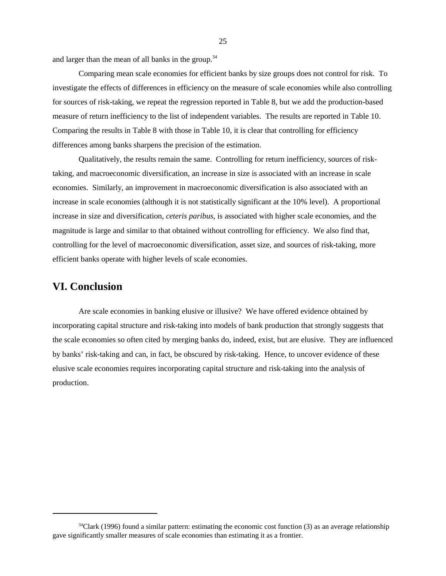and larger than the mean of all banks in the group.<sup>34</sup>

Comparing mean scale economies for efficient banks by size groups does not control for risk. To investigate the effects of differences in efficiency on the measure of scale economies while also controlling for sources of risk-taking, we repeat the regression reported in Table 8, but we add the production-based measure of return inefficiency to the list of independent variables. The results are reported in Table 10. Comparing the results in Table 8 with those in Table 10, it is clear that controlling for efficiency differences among banks sharpens the precision of the estimation.

Qualitatively, the results remain the same. Controlling for return inefficiency, sources of risktaking, and macroeconomic diversification, an increase in size is associated with an increase in scale economies. Similarly, an improvement in macroeconomic diversification is also associated with an increase in scale economies (although it is not statistically significant at the 10% level). A proportional increase in size and diversification, *ceteris paribus*, is associated with higher scale economies, and the magnitude is large and similar to that obtained without controlling for efficiency. We also find that, controlling for the level of macroeconomic diversification, asset size, and sources of risk-taking, more efficient banks operate with higher levels of scale economies.

#### **VI. Conclusion**

Are scale economies in banking elusive or illusive? We have offered evidence obtained by incorporating capital structure and risk-taking into models of bank production that strongly suggests that the scale economies so often cited by merging banks do, indeed, exist, but are elusive. They are influenced by banks' risk-taking and can, in fact, be obscured by risk-taking. Hence, to uncover evidence of these elusive scale economies requires incorporating capital structure and risk-taking into the analysis of production.

 $34$ Clark (1996) found a similar pattern: estimating the economic cost function (3) as an average relationship gave significantly smaller measures of scale economies than estimating it as a frontier.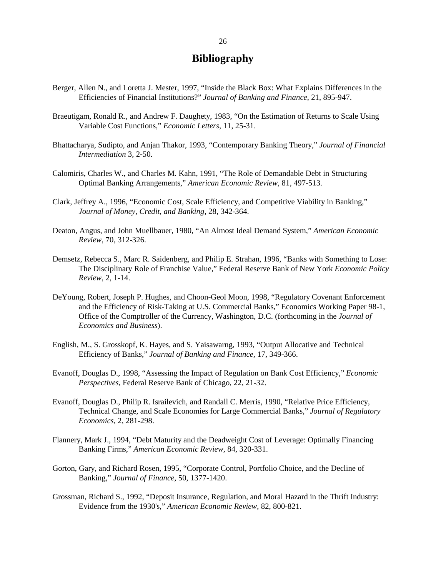## **Bibliography**

- Berger, Allen N., and Loretta J. Mester, 1997, "Inside the Black Box: What Explains Differences in the Efficiencies of Financial Institutions?" *Journal of Banking and Finance*, 21, 895-947.
- Braeutigam, Ronald R., and Andrew F. Daughety, 1983, "On the Estimation of Returns to Scale Using Variable Cost Functions," *Economic Letters*, 11, 25-31.
- Bhattacharya, Sudipto, and Anjan Thakor, 1993, "Contemporary Banking Theory," *Journal of Financial Intermediation* 3, 2-50.
- Calomiris, Charles W., and Charles M. Kahn, 1991, "The Role of Demandable Debt in Structuring Optimal Banking Arrangements," *American Economic Review*, 81, 497-513.
- Clark, Jeffrey A., 1996, "Economic Cost, Scale Efficiency, and Competitive Viability in Banking," *Journal of Money, Credit, and Banking*, 28, 342-364.
- Deaton, Angus, and John Muellbauer, 1980, "An Almost Ideal Demand System," *American Economic Review*, 70, 312-326.
- Demsetz, Rebecca S., Marc R. Saidenberg, and Philip E. Strahan, 1996, "Banks with Something to Lose: The Disciplinary Role of Franchise Value," Federal Reserve Bank of New York *Economic Policy Review*, 2, 1-14.
- DeYoung, Robert, Joseph P. Hughes, and Choon-Geol Moon, 1998, "Regulatory Covenant Enforcement and the Efficiency of Risk-Taking at U.S. Commercial Banks," Economics Working Paper 98-1, Office of the Comptroller of the Currency, Washington, D.C. (forthcoming in the *Journal of Economics and Business*).
- English, M., S. Grosskopf, K. Hayes, and S. Yaisawarng, 1993, "Output Allocative and Technical Efficiency of Banks," *Journal of Banking and Finance*, 17, 349-366.
- Evanoff, Douglas D., 1998, "Assessing the Impact of Regulation on Bank Cost Efficiency," *Economic Perspectives*, Federal Reserve Bank of Chicago, 22, 21-32.
- Evanoff, Douglas D., Philip R. Israilevich, and Randall C. Merris, 1990, "Relative Price Efficiency, Technical Change, and Scale Economies for Large Commercial Banks," *Journal of Regulatory Economics*, 2, 281-298.
- Flannery, Mark J., 1994, "Debt Maturity and the Deadweight Cost of Leverage: Optimally Financing Banking Firms," *American Economic Review*, 84, 320-331.
- Gorton, Gary, and Richard Rosen, 1995, "Corporate Control, Portfolio Choice, and the Decline of Banking," *Journal of Finance*, 50, 1377-1420.
- Grossman, Richard S., 1992, "Deposit Insurance, Regulation, and Moral Hazard in the Thrift Industry: Evidence from the 1930's," *American Economic Review*, 82, 800-821.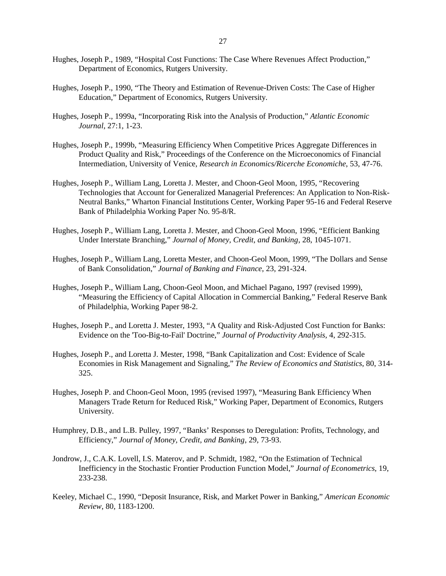- Hughes, Joseph P., 1989, "Hospital Cost Functions: The Case Where Revenues Affect Production," Department of Economics, Rutgers University.
- Hughes, Joseph P., 1990, "The Theory and Estimation of Revenue-Driven Costs: The Case of Higher Education," Department of Economics, Rutgers University.
- Hughes, Joseph P., 1999a, "Incorporating Risk into the Analysis of Production," *Atlantic Economic Journal*, 27:1, 1-23.
- Hughes, Joseph P., 1999b, "Measuring Efficiency When Competitive Prices Aggregate Differences in Product Quality and Risk," Proceedings of the Conference on the Microeconomics of Financial Intermediation, University of Venice, *Research in Economics/Ricerche Economiche*, 53, 47-76.
- Hughes, Joseph P., William Lang, Loretta J. Mester, and Choon-Geol Moon, 1995, "Recovering Technologies that Account for Generalized Managerial Preferences: An Application to Non-Risk-Neutral Banks," Wharton Financial Institutions Center, Working Paper 95-16 and Federal Reserve Bank of Philadelphia Working Paper No. 95-8/R.
- Hughes, Joseph P., William Lang, Loretta J. Mester, and Choon-Geol Moon, 1996, "Efficient Banking Under Interstate Branching," *Journal of Money, Credit, and Banking*, 28, 1045-1071.
- Hughes, Joseph P., William Lang, Loretta Mester, and Choon-Geol Moon, 1999, "The Dollars and Sense of Bank Consolidation," *Journal of Banking and Finance*, 23, 291-324.
- Hughes, Joseph P., William Lang, Choon-Geol Moon, and Michael Pagano, 1997 (revised 1999), "Measuring the Efficiency of Capital Allocation in Commercial Banking," Federal Reserve Bank of Philadelphia, Working Paper 98-2.
- Hughes, Joseph P., and Loretta J. Mester, 1993, "A Quality and Risk-Adjusted Cost Function for Banks: Evidence on the 'Too-Big-to-Fail' Doctrine," *Journal of Productivity Analysis,* 4, 292-315.
- Hughes, Joseph P., and Loretta J. Mester, 1998, "Bank Capitalization and Cost: Evidence of Scale Economies in Risk Management and Signaling," *The Review of Economics and Statistics*, 80, 314- 325.
- Hughes, Joseph P. and Choon-Geol Moon, 1995 (revised 1997), "Measuring Bank Efficiency When Managers Trade Return for Reduced Risk," Working Paper, Department of Economics, Rutgers University.
- Humphrey, D.B., and L.B. Pulley, 1997, "Banks' Responses to Deregulation: Profits, Technology, and Efficiency," *Journal of Money, Credit, and Banking*, 29, 73-93.
- Jondrow, J., C.A.K. Lovell, I.S. Materov, and P. Schmidt, 1982, "On the Estimation of Technical Inefficiency in the Stochastic Frontier Production Function Model," *Journal of Econometrics*, 19, 233-238.
- Keeley, Michael C., 1990, "Deposit Insurance, Risk, and Market Power in Banking," *American Economic Review*, 80, 1183-1200.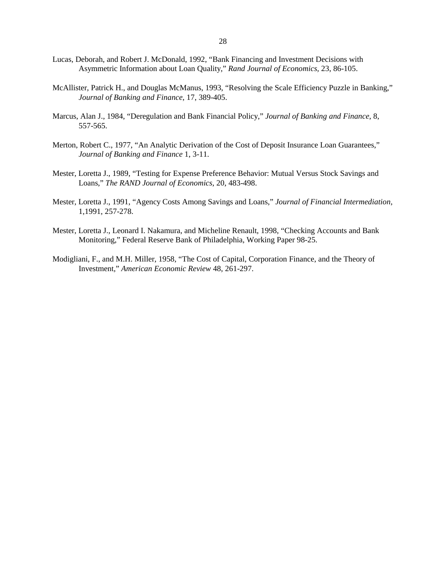- Lucas, Deborah, and Robert J. McDonald, 1992, "Bank Financing and Investment Decisions with Asymmetric Information about Loan Quality," *Rand Journal of Economics,* 23, 86-105.
- McAllister, Patrick H., and Douglas McManus, 1993, "Resolving the Scale Efficiency Puzzle in Banking," *Journal of Banking and Finance*, 17, 389-405.
- Marcus, Alan J., 1984, "Deregulation and Bank Financial Policy," *Journal of Banking and Finance*, 8, 557-565.
- Merton, Robert C., 1977, "An Analytic Derivation of the Cost of Deposit Insurance Loan Guarantees," *Journal of Banking and Finance* 1, 3-11.
- Mester, Loretta J., 1989, "Testing for Expense Preference Behavior: Mutual Versus Stock Savings and Loans," *The RAND Journal of Economics*, 20, 483-498.
- Mester, Loretta J., 1991, "Agency Costs Among Savings and Loans," *Journal of Financial Intermediation*, 1,1991, 257-278.
- Mester, Loretta J., Leonard I. Nakamura, and Micheline Renault, 1998, "Checking Accounts and Bank Monitoring," Federal Reserve Bank of Philadelphia, Working Paper 98-25.
- Modigliani, F., and M.H. Miller, 1958, "The Cost of Capital, Corporation Finance, and the Theory of Investment," *American Economic Review* 48, 261-297.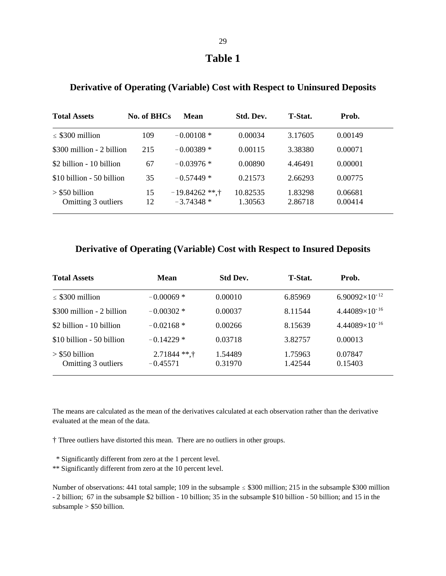## **Derivative of Operating (Variable) Cost with Respect to Uninsured Deposits**

| <b>Total Assets</b>                     | No. of BHCs | Mean                             | Std. Dev.           | T-Stat.            | Prob.              |  |
|-----------------------------------------|-------------|----------------------------------|---------------------|--------------------|--------------------|--|
| $\leq$ \$300 million                    | 109         | $-0.00108*$                      | 0.00034             | 3.17605            | 0.00149            |  |
| \$300 million - 2 billion               | 215         | $-0.00389*$                      | 0.00115             | 3.38380            | 0.00071            |  |
| \$2 billion - 10 billion                | 67          | $-0.03976*$                      | 0.00890             | 4.46491            | 0.00001            |  |
| \$10 billion - 50 billion               | 35          | $-0.57449*$                      | 0.21573             | 2.66293            | 0.00775            |  |
| $>$ \$50 billion<br>Omitting 3 outliers | 15<br>12    | $-19.84262$ **, †<br>$-3.74348*$ | 10.82535<br>1.30563 | 1.83298<br>2.86718 | 0.06681<br>0.00414 |  |

## **Derivative of Operating (Variable) Cost with Respect to Insured Deposits**

| <b>Total Assets</b>                     | Mean                          | <b>Std Dev.</b>    | T-Stat.            | Prob.                   |
|-----------------------------------------|-------------------------------|--------------------|--------------------|-------------------------|
| $\leq$ \$300 million                    | $-0.00069*$                   | 0.00010            | 6.85969            | $6.90092\times10^{-12}$ |
| \$300 million - 2 billion               | $-0.00302*$                   | 0.00037            | 8.11544            | $4.44089\times10^{-16}$ |
| \$2 billion - 10 billion                | $-0.02168*$                   | 0.00266            | 8.15639            | $4.44089\times10^{-16}$ |
| \$10 billion - 50 billion               | $-0.14229*$                   | 0.03718            | 3.82757            | 0.00013                 |
| $>$ \$50 billion<br>Omitting 3 outliers | $2.71844$ **, †<br>$-0.45571$ | 1.54489<br>0.31970 | 1.75963<br>1.42544 | 0.07847<br>0.15403      |

The means are calculated as the mean of the derivatives calculated at each observation rather than the derivative evaluated at the mean of the data.

† Three outliers have distorted this mean. There are no outliers in other groups.

- \* Significantly different from zero at the 1 percent level.
- \*\* Significantly different from zero at the 10 percent level.

Number of observations: 441 total sample; 109 in the subsample  $\leq$  \$300 million; 215 in the subsample \$300 million - 2 billion; 67 in the subsample \$2 billion - 10 billion; 35 in the subsample \$10 billion - 50 billion; and 15 in the subsample > \$50 billion.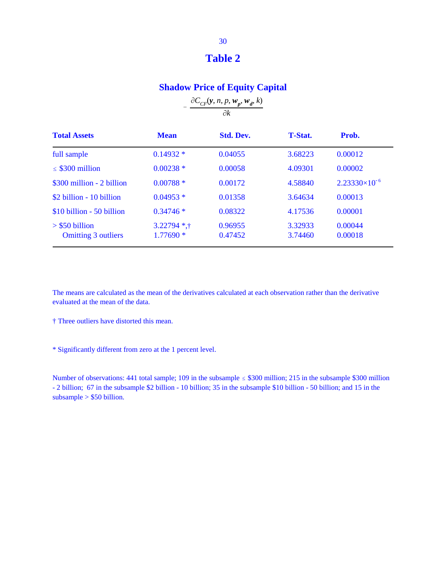## **Shadow Price of Equity Capital**

$$
-\frac{\partial C_{CF}(\mathbf{y}, n, p, \mathbf{w}_p, \mathbf{w}_d, k)}{\partial k}
$$

| <b>Total Assets</b>                            | <b>Mean</b>                  | <b>Std. Dev.</b>   | <b>T-Stat.</b>     | Prob.                  |
|------------------------------------------------|------------------------------|--------------------|--------------------|------------------------|
| full sample                                    | $0.14932*$                   | 0.04055            | 3.68223            | 0.00012                |
| $\leq$ \$300 million                           | $0.00238*$                   | 0.00058            | 4.09301            | 0.00002                |
| \$300 million - 2 billion                      | $0.00788 *$                  | 0.00172            | 4.58840            | $2.23330\times10^{-6}$ |
| \$2 billion - 10 billion                       | $0.04953*$                   | 0.01358            | 3.64634            | 0.00013                |
| \$10 billion - 50 billion                      | $0.34746*$                   | 0.08322            | 4.17536            | 0.00001                |
| $>$ \$50 billion<br><b>Omitting 3 outliers</b> | $3.22794$ *, †<br>$1.77690*$ | 0.96955<br>0.47452 | 3.32933<br>3.74460 | 0.00044<br>0.00018     |

The means are calculated as the mean of the derivatives calculated at each observation rather than the derivative evaluated at the mean of the data.

† Three outliers have distorted this mean.

\* Significantly different from zero at the 1 percent level.

Number of observations: 441 total sample; 109 in the subsample  $\leq$  \$300 million; 215 in the subsample \$300 million - 2 billion; 67 in the subsample \$2 billion - 10 billion; 35 in the subsample \$10 billion - 50 billion; and 15 in the subsample  $> $50$  billion.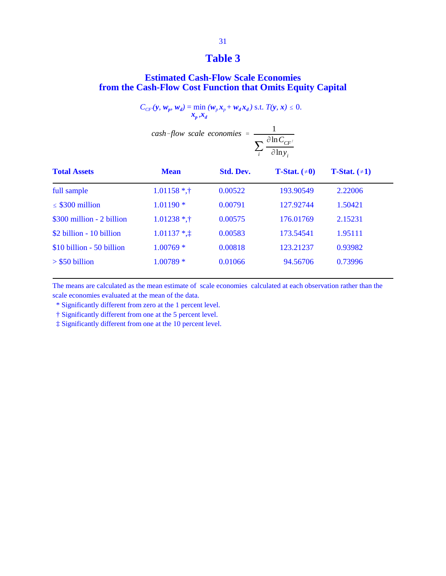## **Estimated Cash-Flow Scale Economies from the Cash-Flow Cost Function that Omits Equity Capital**

 $C_{CF}(\mathbf{y}, \mathbf{w}_p, \mathbf{w}_d) = \min (\mathbf{w}_p \mathbf{x}_p + \mathbf{w}_d \mathbf{x}_d) \text{ s.t. } T(\mathbf{y}, \mathbf{x}) \leq 0.$  $x_p, x_d$ 

> *cash-flow scale economies*  $=$   $\frac{1}{2}$  $\sum_{i}$  $\partial \ln C_{CF}$  $\partial \ln y_i$

| <b>Total Assets</b>       | <b>Mean</b>             | <b>Std. Dev.</b> | <b>T-Stat.</b> $(40)$ | <b>T-Stat.</b> $(\neq 1)$ |  |
|---------------------------|-------------------------|------------------|-----------------------|---------------------------|--|
| full sample               | $1.01158$ *, †          | 0.00522          | 193.90549             | 2.22006                   |  |
| $\le$ \$300 million       | $1.01190*$              | 0.00791          | 127.92744             | 1.50421                   |  |
| \$300 million - 2 billion | $1.01238$ *, †          | 0.00575          | 176.01769             | 2.15231                   |  |
| \$2 billion - 10 billion  | $1.01137$ *, $\ddagger$ | 0.00583          | 173.54541             | 1.95111                   |  |
| \$10 billion - 50 billion | $1.00769*$              | 0.00818          | 123.21237             | 0.93982                   |  |
| $>$ \$50 billion          | $1.00789*$              | 0.01066          | 94.56706              | 0.73996                   |  |

The means are calculated as the mean estimate of scale economies calculated at each observation rather than the scale economies evaluated at the mean of the data.

\* Significantly different from zero at the 1 percent level.

† Significantly different from one at the 5 percent level.

‡ Significantly different from one at the 10 percent level.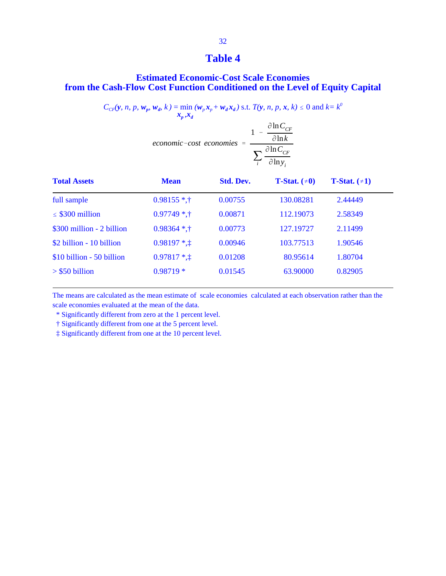## **Estimated Economic-Cost Scale Economies from the Cash-Flow Cost Function Conditioned on the Level of Equity Capital**

 $\partial \ln C$  $C_{CF}(y, n, p, w_p, w_d, k) = \min (w_p x_p + w_d x_d) \text{ s.t. } T(y, n, p, x, k) \leq 0 \text{ and } k = k^0$  $x_p, x_d$ 

 $e$ *conomic*-*cost economies* =

$$
= \frac{1 - \frac{\partial \ln C_{CF}}{\partial \ln k}}{\sum_{i} \frac{\partial \ln C_{CF}}{\partial \ln y_{i}}}
$$

| <b>Total Assets</b>       | <b>Mean</b>             | <b>Std. Dev.</b> | <b>T-Stat.</b> $(\neq 0)$ | <b>T-Stat.</b> $(\neq 1)$ |  |
|---------------------------|-------------------------|------------------|---------------------------|---------------------------|--|
| full sample               | $0.98155$ *, †          | 0.00755          | 130.08281                 | 2.44449                   |  |
| $\le$ \$300 million       | $0.97749$ *, †          | 0.00871          | 112.19073                 | 2.58349                   |  |
| \$300 million - 2 billion | $0.98364$ *, †          | 0.00773          | 127.19727                 | 2.11499                   |  |
| \$2 billion - 10 billion  | $0.98197$ *, $\ddagger$ | 0.00946          | 103.77513                 | 1.90546                   |  |
| \$10 billion - 50 billion | $0.97817$ *, $\ddagger$ | 0.01208          | 80.95614                  | 1.80704                   |  |
| $>$ \$50 billion          | $0.98719*$              | 0.01545          | 63.90000                  | 0.82905                   |  |

The means are calculated as the mean estimate of scale economies calculated at each observation rather than the scale economies evaluated at the mean of the data.

\* Significantly different from zero at the 1 percent level.

† Significantly different from one at the 5 percent level.

‡ Significantly different from one at the 10 percent level.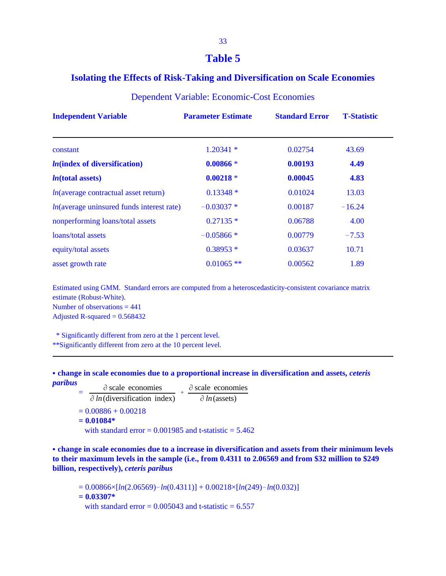#### **Isolating the Effects of Risk-Taking and Diversification on Scale Economies**

#### Dependent Variable: Economic-Cost Economies

| <b>Independent Variable</b>                        | <b>Parameter Estimate</b> | <b>Standard Error</b> | <b>T-Statistic</b> |  |
|----------------------------------------------------|---------------------------|-----------------------|--------------------|--|
|                                                    |                           |                       |                    |  |
| constant                                           | $1.20341*$                | 0.02754               | 43.69              |  |
| <i>ln</i> (index of diversification)               | $0.00866*$                | 0.00193               | 4.49               |  |
| $ln(total$ assets)                                 | $0.00218*$                | 0.00045               | 4.83               |  |
| $ln(\text{average contractual asset return})$      | $0.13348*$                | 0.01024               | 13.03              |  |
| $ln(\text{average uninsured funds interest rate})$ | $-0.03037*$               | 0.00187               | $-16.24$           |  |
| nonperforming loans/total assets                   | $0.27135*$                | 0.06788               | 4.00               |  |
| loans/total assets                                 | $-0.05866*$               | 0.00779               | $-7.53$            |  |
| equity/total assets                                | $0.38953*$                | 0.03637               | 10.71              |  |
| asset growth rate                                  | $0.01065$ **              | 0.00562               | 1.89               |  |

Estimated using GMM. Standard errors are computed from a heteroscedasticity-consistent covariance matrix estimate (Robust-White). Number of observations  $= 441$ Adjusted R-squared  $= 0.568432$ 

 \* Significantly different from zero at the 1 percent level. \*\*Significantly different from zero at the 10 percent level.

C **change in scale economies due to a proportional increase in diversification and assets,** *ceteris paribus*

 $\frac{\partial \text{ scale economics}}{\partial ln(\text{diversification index})}$  +  $\frac{\partial \text{ scale economics}}{\partial ln(\text{asserts})}$  $\partial ln(\text{asserts})$ =  $= 0.00886 + 0.00218$ **= 0.01084\*** with standard error  $= 0.001985$  and t-statistic  $= 5.462$ 

C **change in scale economies due to a increase in diversification and assets from their minimum levels to their maximum levels in the sample (i.e., from 0.4311 to 2.06569 and from \$32 million to \$249 billion, respectively),** *ceteris paribus*

 $= 0.00866 \times [ln(2.06569) - ln(0.4311)] + 0.00218 \times [ln(249) - ln(0.032)]$ **= 0.03307\*** with standard error  $= 0.005043$  and t-statistic  $= 6.557$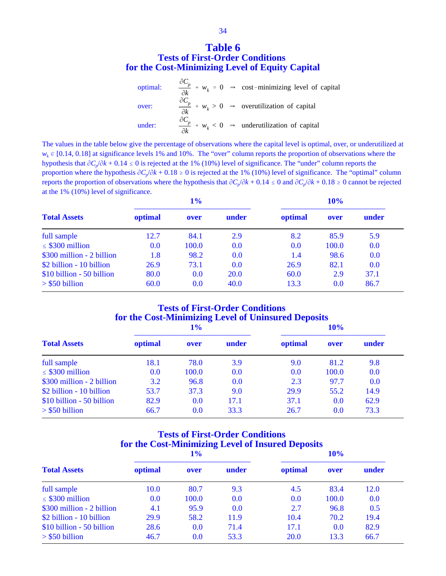#### **Table 6 Tests of First-Order Conditions for the Cost-Minimizing Level of Equity Capital**

optimal: 
$$
\frac{\partial C_p}{\partial k} + w_k = 0 \Rightarrow \text{cost-minimizing level of capital}
$$
  
over: 
$$
\frac{\partial C_p}{\partial k} + w_k > 0 \Rightarrow \text{overutilization of capital}
$$
  
under: 
$$
\frac{\partial C_p}{\partial k} + w_k < 0 \Rightarrow \text{underutilization of capital}
$$

The values in the table below give the percentage of observations where the capital level is optimal, over, or underutilized at  $w_k \in [0.14, 0.18]$  at significance levels 1% and 10%. The "over" column reports the proportion of observations where the hypothesis that  $\partial C_p/\partial k$  + 0.14  $\leq$  0 is rejected at the 1% (10%) level of significance. The "under" column reports the proportion where the hypothesis  $\partial C_p/\partial k$  + 0.18  $\geq$  0 is rejected at the 1% (10%) level of significance. The "optimal" column reports the proportion of observations where the hypothesis that  $\partial C_n/\partial k + 0.14 \le 0$  and  $\partial C_n/\partial k + 0.18 \ge 0$  cannot be rejected at the 1% (10%) level of significance.

|                           | 1%      |       |             | 10%     |       |       |  |  |
|---------------------------|---------|-------|-------------|---------|-------|-------|--|--|
| <b>Total Assets</b>       | optimal | over  | under       | optimal | over  | under |  |  |
| full sample               | 12.7    | 84.1  | 2.9         | 8.2     | 85.9  | 5.9   |  |  |
| $\le$ \$300 million       | 0.0     | 100.0 | 0.0         | 0.0     | 100.0 | 0.0   |  |  |
| \$300 million - 2 billion | 1.8     | 98.2  | 0.0         | 1.4     | 98.6  | 0.0   |  |  |
| \$2 billion - 10 billion  | 26.9    | 73.1  | 0.0         | 26.9    | 82.1  | 0.0   |  |  |
| \$10 billion - 50 billion | 80.0    | 0.0   | <b>20.0</b> | 60.0    | 2.9   | 37.1  |  |  |
| $>$ \$50 billion          | 60.0    | 0.0   | 40.0        | 13.3    | 0.0   | 86.7  |  |  |

## **Tests of First-Order Conditions for the Cost-Minimizing Level of Uninsured Deposits**

|                           | $1\%$   |       |       | <b>10%</b> |       |       |  |
|---------------------------|---------|-------|-------|------------|-------|-------|--|
| <b>Total Assets</b>       | optimal | over  | under | optimal    | over  | under |  |
| full sample               | 18.1    | 78.0  | 3.9   | 9.0        | 81.2  | 9.8   |  |
| $\le$ \$300 million       | 0.0     | 100.0 | 0.0   | 0.0        | 100.0 | 0.0   |  |
| \$300 million - 2 billion | 3.2     | 96.8  | 0.0   | 2.3        | 97.7  | 0.0   |  |
| \$2 billion - 10 billion  | 53.7    | 37.3  | 9.0   | 29.9       | 55.2  | 14.9  |  |
| \$10 billion - 50 billion | 82.9    | 0.0   | 17.1  | 37.1       | 0.0   | 62.9  |  |
| $>$ \$50 billion          | 66.7    | 0.0   | 33.3  | 26.7       | 0.0   | 73.3  |  |

## **Tests of First-Order Conditions for the Cost-Minimizing Level of Insured Deposits**

|                           | 1%      |       |       |             |       |       | 10% |  |  |
|---------------------------|---------|-------|-------|-------------|-------|-------|-----|--|--|
| <b>Total Assets</b>       | optimal | over  | under | optimal     | over  | under |     |  |  |
| full sample               | 10.0    | 80.7  | 9.3   | 4.5         | 83.4  | 12.0  |     |  |  |
| $\le$ \$300 million       | 0.0     | 100.0 | 0.0   | 0.0         | 100.0 | 0.0   |     |  |  |
| \$300 million - 2 billion | 4.1     | 95.9  | 0.0   | 2.7         | 96.8  | 0.5   |     |  |  |
| \$2 billion - 10 billion  | 29.9    | 58.2  | 11.9  | 10.4        | 70.2  | 19.4  |     |  |  |
| \$10 billion - 50 billion | 28.6    | 0.0   | 71.4  | 17.1        | 0.0   | 82.9  |     |  |  |
| $>$ \$50 billion          | 46.7    | 0.0   | 53.3  | <b>20.0</b> | 13.3  | 66.7  |     |  |  |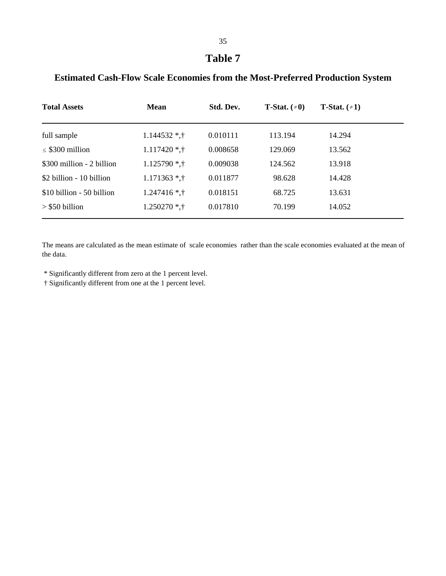## Total Assets Mean Std. Dev. T-Stat. ( $\neq$ 0) T-Stat. ( $\neq$ 1) full sample 1.144532 \*, † 0.010111 113.194 14.294  $\leq$  \$300 million 1.117420 \*, † 0.008658 129.069 13.562 \$300 million - 2 billion 1.125790 \*, † 0.009038 124.562 13.918 \$2 billion - 10 billion 1.171363 \*, † 0.011877 98.628 14.428 \$10 billion - 50 billion 1.247416 \*, † 0.018151 68.725 13.631  $> $50$  billion 1.250270 \*, † 0.017810 70.199 14.052

## **Estimated Cash-Flow Scale Economies from the Most-Preferred Production System**

The means are calculated as the mean estimate of scale economies rather than the scale economies evaluated at the mean of the data.

\* Significantly different from zero at the 1 percent level.

† Significantly different from one at the 1 percent level.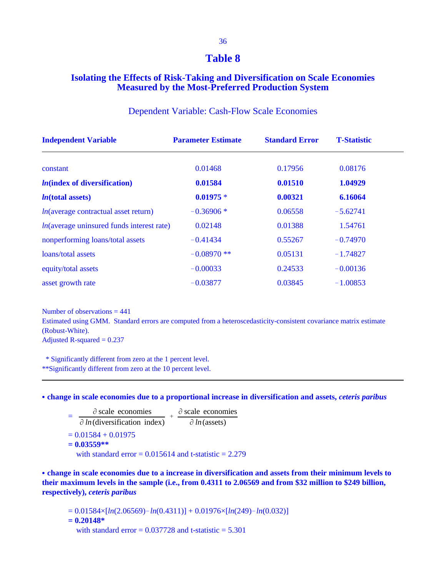#### **Isolating the Effects of Risk-Taking and Diversification on Scale Economies Measured by the Most-Preferred Production System**

| <b>Independent Variable</b>                        | <b>Parameter Estimate</b> | <b>Standard Error</b> | <b>T-Statistic</b> |  |
|----------------------------------------------------|---------------------------|-----------------------|--------------------|--|
| constant                                           | 0.01468                   | 0.17956               | 0.08176            |  |
| <i>ln</i> (index of diversification)               | 0.01584                   | 0.01510               | 1.04929            |  |
| <i>ln</i> (total assets)                           | $0.01975*$                | 0.00321               | 6.16064            |  |
| $ln(\text{average contractual asset return})$      | $-0.36906*$               | 0.06558               | $-5.62741$         |  |
| $ln(\text{average uninsured funds interest rate})$ | 0.02148                   | 0.01388               | 1.54761            |  |
| nonperforming loans/total assets                   | $-0.41434$                | 0.55267               | $-0.74970$         |  |
| loans/total assets                                 | $-0.08970$ **             | 0.05131               | $-1.74827$         |  |
| equity/total assets                                | $-0.00033$                | 0.24533               | $-0.00136$         |  |
| asset growth rate                                  | $-0.03877$                | 0.03845               | $-1.00853$         |  |

#### Dependent Variable: Cash-Flow Scale Economies

Number of observations = 441

Estimated using GMM. Standard errors are computed from a heteroscedasticity-consistent covariance matrix estimate (Robust-White).

Adjusted R-squared  $= 0.237$ 

 \* Significantly different from zero at the 1 percent level. \*\*Significantly different from zero at the 10 percent level.

C **change in scale economies due to a proportional increase in diversification and assets,** *ceteris paribus*

 $\frac{\partial \text{ scale economics}}{\partial \ln(\text{diversification index})} + \frac{\partial \text{ scale economics}}{\partial \ln(\text{asserts})}$ =  $= 0.01584 + 0.01975$ **= 0.03559\*\*** with standard error  $= 0.015614$  and t-statistic  $= 2.279$ 

C **change in scale economies due to a increase in diversification and assets from their minimum levels to their maximum levels in the sample (i.e., from 0.4311 to 2.06569 and from \$32 million to \$249 billion, respectively),** *ceteris paribus*

 $= 0.01584 \times [ln(2.06569) - ln(0.4311)] + 0.01976 \times [ln(249) - ln(0.032)]$ **= 0.20148\*** with standard error  $= 0.037728$  and t-statistic  $= 5.301$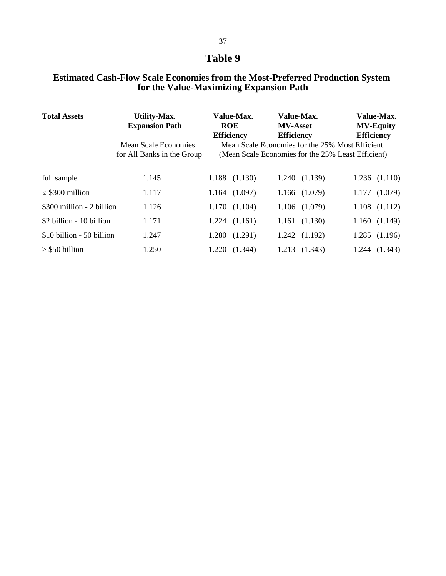#### **Estimated Cash-Flow Scale Economies from the Most-Preferred Production System for the Value-Maximizing Expansion Path**

| <b>Total Assets</b>       | <b>Utility-Max.</b><br><b>Expansion Path</b>       | Value-Max.<br><b>ROE</b><br><b>Efficiency</b> | Value-Max.<br><b>MV-Asset</b><br><b>Efficiency</b>                                                    | Value-Max.<br><b>MV-Equity</b><br><b>Efficiency</b> |
|---------------------------|----------------------------------------------------|-----------------------------------------------|-------------------------------------------------------------------------------------------------------|-----------------------------------------------------|
|                           | Mean Scale Economies<br>for All Banks in the Group |                                               | Mean Scale Economies for the 25% Most Efficient<br>(Mean Scale Economies for the 25% Least Efficient) |                                                     |
| full sample               | 1.145                                              | $1.188$ $(1.130)$                             | 1.240(1.139)                                                                                          | $1.236$ $(1.110)$                                   |
| $\leq$ \$300 million      | 1.117                                              | $1.164$ $(1.097)$                             | 1.166 (1.079)                                                                                         | 1.177(1.079)                                        |
| \$300 million - 2 billion | 1.126                                              | 1.170(1.104)                                  | $1.106$ $(1.079)$                                                                                     | $1.108$ $(1.112)$                                   |
| \$2 billion - 10 billion  | 1.171                                              | $1.224$ $(1.161)$                             | $1.161$ $(1.130)$                                                                                     | 1.160(1.149)                                        |
| \$10 billion - 50 billion | 1.247                                              | 1.280(1.291)                                  | 1.242(1.192)                                                                                          | 1.285 (1.196)                                       |
| $>$ \$50 billion          | 1.250                                              | 1.220(1.344)                                  | 1.213(1.343)                                                                                          | 1.244(1.343)                                        |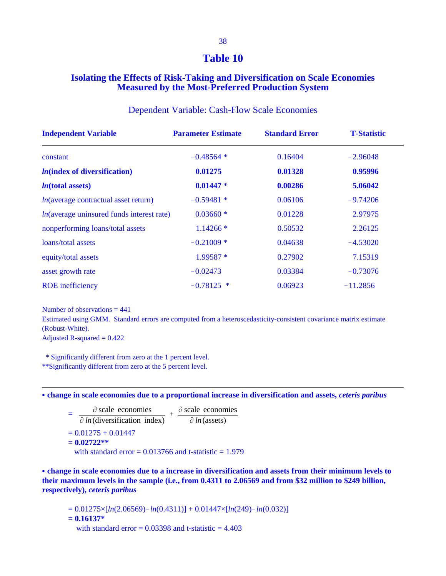## **Isolating the Effects of Risk-Taking and Diversification on Scale Economies Measured by the Most-Preferred Production System**

| <b>Independent Variable</b>                        | <b>Parameter Estimate</b> | <b>Standard Error</b> | <b>T-Statistic</b> |
|----------------------------------------------------|---------------------------|-----------------------|--------------------|
| constant                                           | $-0.48564*$               | 0.16404               | $-2.96048$         |
| <i>ln</i> (index of diversification)               | 0.01275                   | 0.01328               | 0.95996            |
| $ln(total$ assets)                                 | $0.01447*$                | 0.00286               | 5.06042            |
| $ln(\text{average contractual asset return})$      | $-0.59481*$               | 0.06106               | $-9.74206$         |
| $ln(\text{average uninsured funds interest rate})$ | $0.03660*$                | 0.01228               | 2.97975            |
| nonperforming loans/total assets                   | $1.14266*$                | 0.50532               | 2.26125            |
| loans/total assets                                 | $-0.21009*$               | 0.04638               | $-4.53020$         |
| equity/total assets                                | 1.99587 *                 | 0.27902               | 7.15319            |
| asset growth rate                                  | $-0.02473$                | 0.03384               | $-0.73076$         |
| <b>ROE</b> inefficiency                            | $-0.78125$ *              | 0.06923               | $-11.2856$         |

#### Dependent Variable: Cash-Flow Scale Economies

Number of observations  $= 441$ 

Estimated using GMM. Standard errors are computed from a heteroscedasticity-consistent covariance matrix estimate (Robust-White).

Adjusted R-squared  $= 0.422$ 

 \* Significantly different from zero at the 1 percent level. \*\*Significantly different from zero at the 5 percent level.

C **change in scale economies due to a proportional increase in diversification and assets,** *ceteris paribus*

 $\frac{\partial \text{ scale economics}}{\partial \ln(\text{diversification index})} + \frac{\partial \text{ scale economics}}{\partial \ln(\text{asserts})}$ =  $= 0.01275 + 0.01447$ **= 0.02722\*\*** with standard error  $= 0.013766$  and t-statistic  $= 1.979$ 

C **change in scale economies due to a increase in diversification and assets from their minimum levels to their maximum levels in the sample (i.e., from 0.4311 to 2.06569 and from \$32 million to \$249 billion, respectively),** *ceteris paribus*

 $= 0.01275 \times [ln(2.06569) - ln(0.4311)] + 0.01447 \times [ln(249) - ln(0.032)]$ **= 0.16137\*** with standard error  $= 0.03398$  and t-statistic  $= 4.403$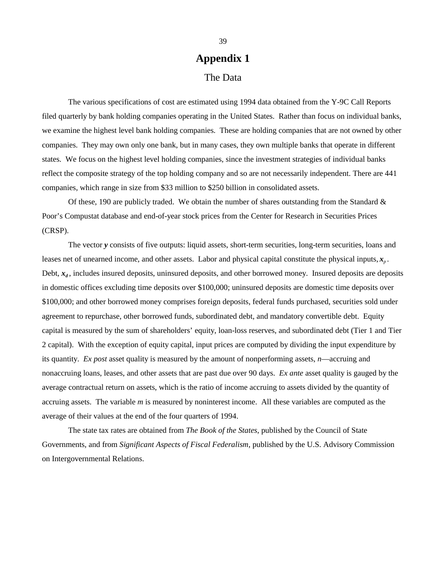#### The Data

The various specifications of cost are estimated using 1994 data obtained from the Y-9C Call Reports filed quarterly by bank holding companies operating in the United States. Rather than focus on individual banks, we examine the highest level bank holding companies. These are holding companies that are not owned by other companies. They may own only one bank, but in many cases, they own multiple banks that operate in different states. We focus on the highest level holding companies, since the investment strategies of individual banks reflect the composite strategy of the top holding company and so are not necessarily independent. There are 441 companies, which range in size from \$33 million to \$250 billion in consolidated assets.

Of these, 190 are publicly traded. We obtain the number of shares outstanding from the Standard  $\&$ Poor's Compustat database and end-of-year stock prices from the Center for Research in Securities Prices (CRSP).

The vector **y** consists of five outputs: liquid assets, short-term securities, long-term securities, loans and leases net of unearned income, and other assets. Labor and physical capital constitute the physical inputs,  $x<sub>n</sub>$ . Debt,  $x_d$ , includes insured deposits, uninsured deposits, and other borrowed money. Insured deposits are deposits in domestic offices excluding time deposits over \$100,000; uninsured deposits are domestic time deposits over \$100,000; and other borrowed money comprises foreign deposits, federal funds purchased, securities sold under agreement to repurchase, other borrowed funds, subordinated debt, and mandatory convertible debt. Equity capital is measured by the sum of shareholders' equity, loan-loss reserves, and subordinated debt (Tier 1 and Tier 2 capital). With the exception of equity capital, input prices are computed by dividing the input expenditure by its quantity. *Ex post* asset quality is measured by the amount of nonperforming assets, *n*—accruing and nonaccruing loans, leases, and other assets that are past due over 90 days. *Ex ante* asset quality is gauged by the average contractual return on assets, which is the ratio of income accruing to assets divided by the quantity of accruing assets. The variable *m* is measured by noninterest income. All these variables are computed as the average of their values at the end of the four quarters of 1994.

The state tax rates are obtained from *The Book of the States*, published by the Council of State Governments, and from *Significant Aspects of Fiscal Federalism*, published by the U.S. Advisory Commission on Intergovernmental Relations.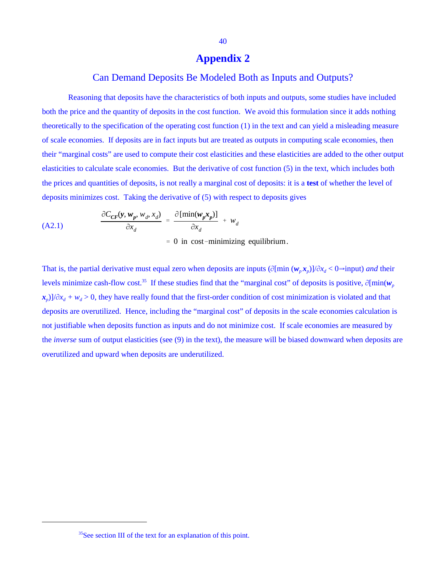#### Can Demand Deposits Be Modeled Both as Inputs and Outputs?

Reasoning that deposits have the characteristics of both inputs and outputs, some studies have included both the price and the quantity of deposits in the cost function. We avoid this formulation since it adds nothing theoretically to the specification of the operating cost function (1) in the text and can yield a misleading measure of scale economies. If deposits are in fact inputs but are treated as outputs in computing scale economies, then their "marginal costs" are used to compute their cost elasticities and these elasticities are added to the other output elasticities to calculate scale economies. But the derivative of cost function (5) in the text, which includes both the prices and quantities of deposits, is not really a marginal cost of deposits: it is a **test** of whether the level of deposits minimizes cost. Taking the derivative of (5) with respect to deposits gives

$$
(A2.1) \qquad \frac{\partial C_{CF}(y, w_p, w_d, x_d)}{\partial x_d} = \frac{\partial [\min(w_p x_p)]}{\partial x_d} + w_d
$$

 $= 0$  in cost-minimizing equilibrium.

That is, the partial derivative must equal zero when deposits are inputs  $(\partial[\min(w_p x_p)]/\partial x_d < 0 \rightarrow input)$  *and* their levels minimize cash-flow cost.<sup>35</sup> If these studies find that the "marginal cost" of deposits is positive,  $\partial$ [min( $w_p$  $x_p$ ]/ $\partial x_d + w_d > 0$ , they have really found that the first-order condition of cost minimization is violated and that deposits are overutilized. Hence, including the "marginal cost" of deposits in the scale economies calculation is not justifiable when deposits function as inputs and do not minimize cost. If scale economies are measured by the *inverse* sum of output elasticities (see (9) in the text), the measure will be biased downward when deposits are overutilized and upward when deposits are underutilized.

<sup>&</sup>lt;sup>35</sup>See section III of the text for an explanation of this point.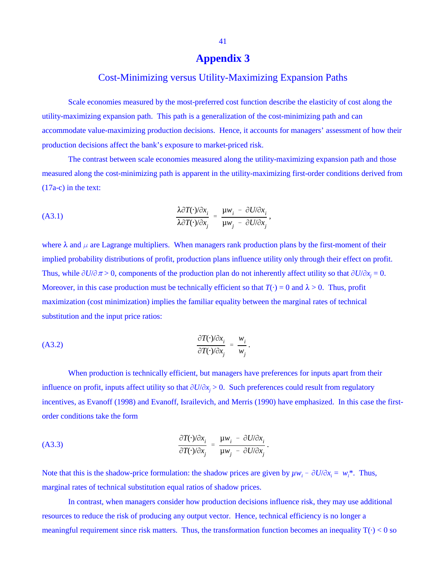## Cost-Minimizing versus Utility-Maximizing Expansion Paths

Scale economies measured by the most-preferred cost function describe the elasticity of cost along the utility-maximizing expansion path. This path is a generalization of the cost-minimizing path and can accommodate value-maximizing production decisions. Hence, it accounts for managers' assessment of how their production decisions affect the bank's exposure to market-priced risk.

The contrast between scale economies measured along the utility-maximizing expansion path and those measured along the cost-minimizing path is apparent in the utility-maximizing first-order conditions derived from (17a-c) in the text:

(A3.1)

\n
$$
\frac{\lambda \partial T(\cdot)/\partial x_i}{\lambda \partial T(\cdot)/\partial x_j} = \frac{\mu w_i - \partial U/\partial x_i}{\mu w_j - \partial U/\partial x_j},
$$

where  $\lambda$  and  $\mu$  are Lagrange multipliers. When managers rank production plans by the first-moment of their implied probability distributions of profit, production plans influence utility only through their effect on profit. Thus, while  $\partial U/\partial \pi > 0$ , components of the production plan do not inherently affect utility so that  $\partial U/\partial x$  = 0. Moreover, in this case production must be technically efficient so that  $T(\cdot) = 0$  and  $\lambda > 0$ . Thus, profit maximization (cost minimization) implies the familiar equality between the marginal rates of technical substitution and the input price ratios:

$$
\frac{\partial T(\cdot)/\partial x_i}{\partial T(\cdot)/\partial x_j} = \frac{w_i}{w_j}
$$

When production is technically efficient, but managers have preferences for inputs apart from their influence on profit, inputs affect utility so that  $\partial U/\partial x_j > 0$ . Such preferences could result from regulatory incentives, as Evanoff (1998) and Evanoff, Israilevich, and Merris (1990) have emphasized. In this case the firstorder conditions take the form

.

.

(A3.3)

\n
$$
\frac{\partial T(\cdot)/\partial x_i}{\partial T(\cdot)/\partial x_j} = \frac{\mu w_i - \partial U/\partial x_i}{\mu w_j - \partial U/\partial x_j}
$$

Note that this is the shadow-price formulation: the shadow prices are given by  $\mu w_i - \frac{\partial U}{\partial x_i} = w_i^*$ . Thus, marginal rates of technical substitution equal ratios of shadow prices.

In contrast, when managers consider how production decisions influence risk, they may use additional resources to reduce the risk of producing any output vector. Hence, technical efficiency is no longer a meaningful requirement since risk matters. Thus, the transformation function becomes an inequality  $T(\cdot) < 0$  so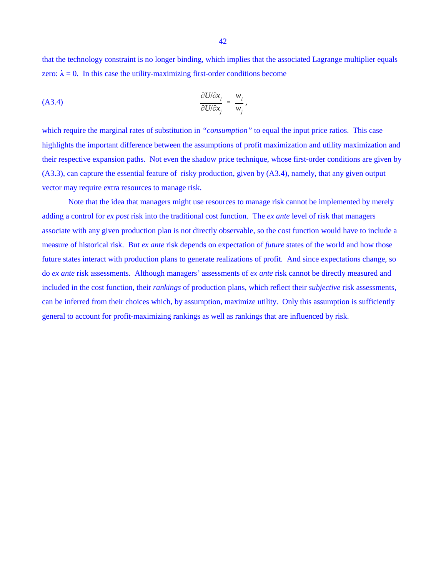that the technology constraint is no longer binding, which implies that the associated Lagrange multiplier equals zero:  $\lambda = 0$ . In this case the utility-maximizing first-order conditions become

(A3.4)

\n
$$
\frac{\partial U/\partial x_i}{\partial U/\partial x_j} = \frac{w_i}{w_j},
$$

which require the marginal rates of substitution in *"consumption"* to equal the input price ratios. This case highlights the important difference between the assumptions of profit maximization and utility maximization and their respective expansion paths. Not even the shadow price technique, whose first-order conditions are given by (A3.3), can capture the essential feature of risky production, given by (A3.4), namely, that any given output vector may require extra resources to manage risk.

Note that the idea that managers might use resources to manage risk cannot be implemented by merely adding a control for *ex post* risk into the traditional cost function. The *ex ante* level of risk that managers associate with any given production plan is not directly observable, so the cost function would have to include a measure of historical risk. But *ex ante* risk depends on expectation of *future* states of the world and how those future states interact with production plans to generate realizations of profit. And since expectations change, so do *ex ante* risk assessments. Although managers*'* assessments of *ex ante* risk cannot be directly measured and included in the cost function, their *rankings* of production plans, which reflect their *subjective* risk assessments, can be inferred from their choices which, by assumption, maximize utility. Only this assumption is sufficiently general to account for profit-maximizing rankings as well as rankings that are influenced by risk.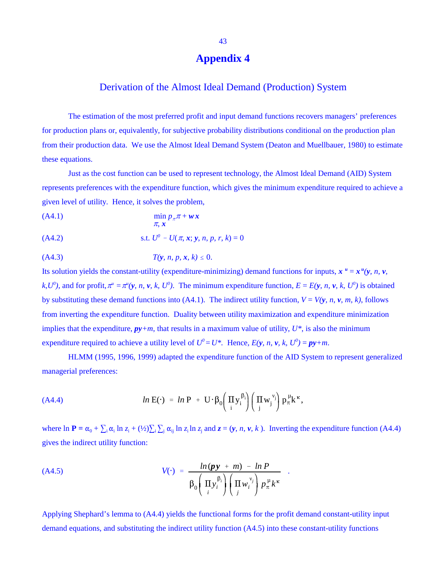#### Derivation of the Almost Ideal Demand (Production) System

The estimation of the most preferred profit and input demand functions recovers managers' preferences for production plans or, equivalently, for subjective probability distributions conditional on the production plan from their production data. We use the Almost Ideal Demand System (Deaton and Muellbauer, 1980) to estimate these equations.

Just as the cost function can be used to represent technology, the Almost Ideal Demand (AID) System represents preferences with the expenditure function, which gives the minimum expenditure required to achieve a given level of utility. Hence, it solves the problem,

$$
\min_{\pi, \mathbf{x}} p_{\pi} \pi + \mathbf{w} \mathbf{x}
$$

(A4.2) s.t.  $U^0 - U(\pi, x; y, n, p, r, k) = 0$ 

$$
(A4.3) \tT(y, n, p, x, k) \leq 0.
$$

Its solution yields the constant-utility (expenditure-minimizing) demand functions for inputs,  $x^u = x^u(y, n, v, u)$ k,  $U^0$ ), and for profit,  $\pi^u = \pi^u(y, n, v, k, U^0)$ . The minimum expenditure function,  $E = E(y, n, v, k, U^0)$  is obtained by substituting these demand functions into (A4.1). The indirect utility function,  $V = V(y, n, v, m, k)$ , follows from inverting the expenditure function. Duality between utility maximization and expenditure minimization implies that the expenditure,  $p\mathbf{v}+m$ , that results in a maximum value of utility,  $U^*$ , is also the minimum expenditure required to achieve a utility level of  $U^0 = U^*$ . Hence,  $E(y, n, v, k, U^0) = py + m$ .

HLMM (1995, 1996, 1999) adapted the expenditure function of the AID System to represent generalized managerial preferences:

(A4.4) 
$$
ln \mathbf{E}(\cdot) = ln \mathbf{P} + \mathbf{U} \cdot \beta_0 \left( \Pi \mathbf{y}_i^{\beta_i} \right) \left( \Pi \mathbf{w}_j^{\nu_j} \right) \mathbf{p}_\pi^{\mu} \mathbf{k}^{\kappa},
$$

where  $\ln P = \alpha_0 + \sum_i \alpha_i \ln z_i + (\frac{1}{2}) \sum_i \sum_j \alpha_{ij} \ln z_i \ln z_j$  and  $z = (y, n, v, k)$ . Inverting the expenditure function (A4.4) gives the indirect utility function:

$$
V(\cdot) = \frac{\ln(p y + m) - \ln P}{\beta_0 \left( \prod_{i} y_i^{\beta_i} \right) \left( \prod_{j} w_i^{\nu_j} \right) p_{\pi}^{\mu} k^{\kappa}}
$$

Applying Shephard's lemma to (A4.4) yields the functional forms for the profit demand constant-utility input demand equations, and substituting the indirect utility function (A4.5) into these constant-utility functions